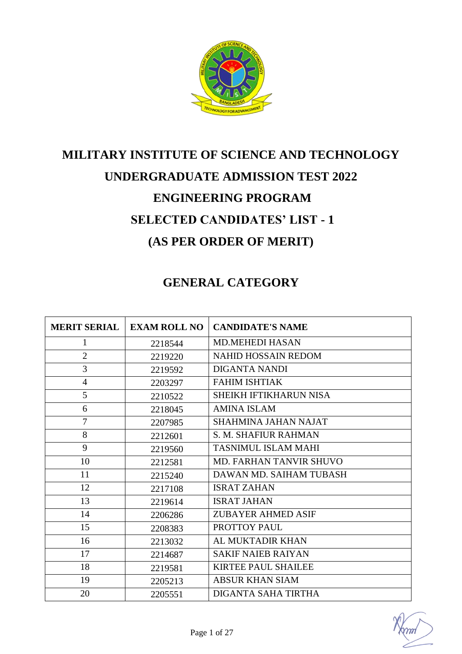

# **MILITARY INSTITUTE OF SCIENCE AND TECHNOLOGY UNDERGRADUATE ADMISSION TEST 2022 ENGINEERING PROGRAM SELECTED CANDIDATES' LIST - 1 (AS PER ORDER OF MERIT)**

#### **GENERAL CATEGORY**

| <b>MERIT SERIAL</b> | <b>EXAM ROLL NO</b> | <b>CANDIDATE'S NAME</b>        |
|---------------------|---------------------|--------------------------------|
| 1                   | 2218544             | <b>MD.MEHEDI HASAN</b>         |
| $\overline{2}$      | 2219220             | <b>NAHID HOSSAIN REDOM</b>     |
| 3                   | 2219592             | <b>DIGANTA NANDI</b>           |
| $\overline{4}$      | 2203297             | <b>FAHIM ISHTIAK</b>           |
| 5                   | 2210522             | <b>SHEIKH IFTIKHARUN NISA</b>  |
| 6                   | 2218045             | <b>AMINA ISLAM</b>             |
| $\overline{7}$      | 2207985             | <b>SHAHMINA JAHAN NAJAT</b>    |
| 8                   | 2212601             | <b>S. M. SHAFIUR RAHMAN</b>    |
| 9                   | 2219560             | <b>TASNIMUL ISLAM MAHI</b>     |
| 10                  | 2212581             | <b>MD. FARHAN TANVIR SHUVO</b> |
| 11                  | 2215240             | DAWAN MD. SAIHAM TUBASH        |
| 12                  | 2217108             | <b>ISRAT ZAHAN</b>             |
| 13                  | 2219614             | <b>ISRAT JAHAN</b>             |
| 14                  | 2206286             | <b>ZUBAYER AHMED ASIF</b>      |
| 15                  | 2208383             | PROTTOY PAUL                   |
| 16                  | 2213032             | AL MUKTADIR KHAN               |
| 17                  | 2214687             | <b>SAKIF NAIEB RAIYAN</b>      |
| 18                  | 2219581             | <b>KIRTEE PAUL SHAILEE</b>     |
| 19                  | 2205213             | <b>ABSUR KHAN SIAM</b>         |
| 20                  | 2205551             | DIGANTA SAHA TIRTHA            |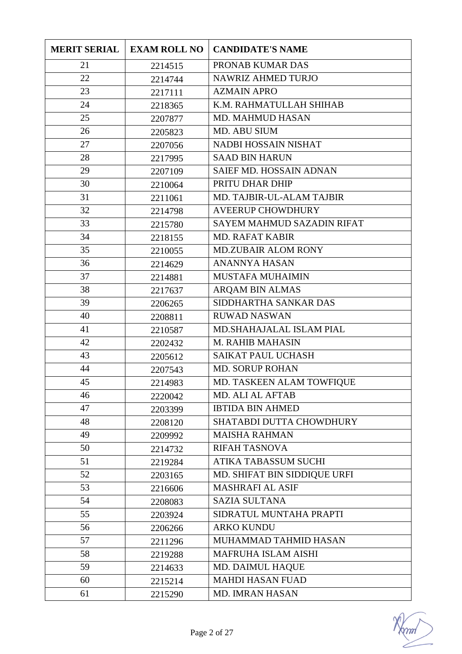| <b>MERIT SERIAL</b> | <b>EXAM ROLL NO</b> | <b>CANDIDATE'S NAME</b>        |
|---------------------|---------------------|--------------------------------|
| 21                  | 2214515             | PRONAB KUMAR DAS               |
| 22                  | 2214744             | NAWRIZ AHMED TURJO             |
| 23                  | 2217111             | <b>AZMAIN APRO</b>             |
| 24                  | 2218365             | K.M. RAHMATULLAH SHIHAB        |
| 25                  | 2207877             | <b>MD. MAHMUD HASAN</b>        |
| 26                  | 2205823             | MD. ABU SIUM                   |
| 27                  | 2207056             | NADBI HOSSAIN NISHAT           |
| 28                  | 2217995             | <b>SAAD BIN HARUN</b>          |
| 29                  | 2207109             | <b>SAIEF MD. HOSSAIN ADNAN</b> |
| 30                  | 2210064             | PRITU DHAR DHIP                |
| 31                  | 2211061             | MD. TAJBIR-UL-ALAM TAJBIR      |
| 32                  | 2214798             | <b>AVEERUP CHOWDHURY</b>       |
| 33                  | 2215780             | SAYEM MAHMUD SAZADIN RIFAT     |
| 34                  | 2218155             | <b>MD. RAFAT KABIR</b>         |
| 35                  | 2210055             | <b>MD.ZUBAIR ALOM RONY</b>     |
| 36                  | 2214629             | <b>ANANNYA HASAN</b>           |
| 37                  | 2214881             | <b>MUSTAFA MUHAIMIN</b>        |
| 38                  | 2217637             | ARQAM BIN ALMAS                |
| 39                  | 2206265             | SIDDHARTHA SANKAR DAS          |
| 40                  | 2208811             | <b>RUWAD NASWAN</b>            |
| 41                  | 2210587             | MD.SHAHAJALAL ISLAM PIAL       |
| 42                  | 2202432             | <b>M. RAHIB MAHASIN</b>        |
| 43                  | 2205612             | <b>SAIKAT PAUL UCHASH</b>      |
| 44                  | 2207543             | <b>MD. SORUP ROHAN</b>         |
| 45                  | 2214983             | MD. TASKEEN ALAM TOWFIQUE      |
| 46                  | 2220042             | MD. ALI AL AFTAB               |
| 47                  | 2203399             | <b>IBTIDA BIN AHMED</b>        |
| 48                  | 2208120             | SHATABDI DUTTA CHOWDHURY       |
| 49                  | 2209992             | <b>MAISHA RAHMAN</b>           |
| 50                  | 2214732             | RIFAH TASNOVA                  |
| 51                  | 2219284             | <b>ATIKA TABASSUM SUCHI</b>    |
| 52                  | 2203165             | MD. SHIFAT BIN SIDDIQUE URFI   |
| 53                  | 2216606             | MASHRAFI AL ASIF               |
| 54                  | 2208083             | <b>SAZIA SULTANA</b>           |
| 55                  | 2203924             | SIDRATUL MUNTAHA PRAPTI        |
| 56                  | 2206266             | <b>ARKO KUNDU</b>              |
| 57                  | 2211296             | MUHAMMAD TAHMID HASAN          |
| 58                  | 2219288             | MAFRUHA ISLAM AISHI            |
| 59                  | 2214633             | <b>MD. DAIMUL HAQUE</b>        |
| 60                  | 2215214             | <b>MAHDI HASAN FUAD</b>        |
| 61                  | 2215290             | MD. IMRAN HASAN                |

mm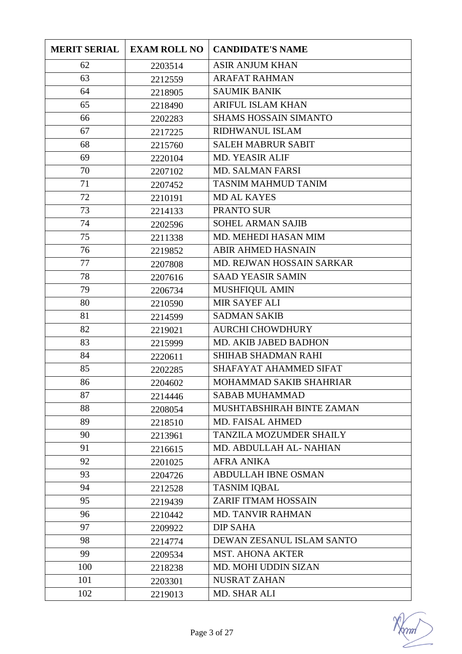| <b>MERIT SERIAL</b> | <b>EXAM ROLL NO</b> | <b>CANDIDATE'S NAME</b>        |
|---------------------|---------------------|--------------------------------|
| 62                  | 2203514             | <b>ASIR ANJUM KHAN</b>         |
| 63                  | 2212559             | <b>ARAFAT RAHMAN</b>           |
| 64                  | 2218905             | <b>SAUMIK BANIK</b>            |
| 65                  | 2218490             | ARIFUL ISLAM KHAN              |
| 66                  | 2202283             | <b>SHAMS HOSSAIN SIMANTO</b>   |
| 67                  | 2217225             | RIDHWANUL ISLAM                |
| 68                  | 2215760             | <b>SALEH MABRUR SABIT</b>      |
| 69                  | 2220104             | <b>MD. YEASIR ALIF</b>         |
| 70                  | 2207102             | <b>MD. SALMAN FARSI</b>        |
| 71                  | 2207452             | <b>TASNIM MAHMUD TANIM</b>     |
| 72                  | 2210191             | <b>MD AL KAYES</b>             |
| 73                  | 2214133             | PRANTO SUR                     |
| 74                  | 2202596             | <b>SOHEL ARMAN SAJIB</b>       |
| 75                  | 2211338             | MD. MEHEDI HASAN MIM           |
| 76                  | 2219852             | <b>ABIR AHMED HASNAIN</b>      |
| 77                  | 2207808             | MD. REJWAN HOSSAIN SARKAR      |
| 78                  | 2207616             | <b>SAAD YEASIR SAMIN</b>       |
| 79                  | 2206734             | MUSHFIQUL AMIN                 |
| 80                  | 2210590             | <b>MIR SAYEF ALI</b>           |
| 81                  | 2214599             | <b>SADMAN SAKIB</b>            |
| 82                  | 2219021             | <b>AURCHI CHOWDHURY</b>        |
| 83                  | 2215999             | MD. AKIB JABED BADHON          |
| 84                  | 2220611             | <b>SHIHAB SHADMAN RAHI</b>     |
| 85                  | 2202285             | SHAFAYAT AHAMMED SIFAT         |
| 86                  | 2204602             | MOHAMMAD SAKIB SHAHRIAR        |
| 87                  | 2214446             | <b>SABAB MUHAMMAD</b>          |
| 88                  | 2208054             | MUSHTABSHIRAH BINTE ZAMAN      |
| 89                  | 2218510             | MD. FAISAL AHMED               |
| 90                  | 2213961             | <b>TANZILA MOZUMDER SHAILY</b> |
| 91                  | 2216615             | MD. ABDULLAH AL-NAHIAN         |
| 92                  | 2201025             | <b>AFRA ANIKA</b>              |
| 93                  | 2204726             | <b>ABDULLAH IBNE OSMAN</b>     |
| 94                  | 2212528             | <b>TASNIM IQBAL</b>            |
| 95                  | 2219439             | ZARIF ITMAM HOSSAIN            |
| 96                  | 2210442             | <b>MD. TANVIR RAHMAN</b>       |
| 97                  | 2209922             | <b>DIP SAHA</b>                |
| 98                  | 2214774             | DEWAN ZESANUL ISLAM SANTO      |
| 99                  | 2209534             | <b>MST. AHONA AKTER</b>        |
| 100                 | 2218238             | MD. MOHI UDDIN SIZAN           |
| 101                 | 2203301             | NUSRAT ZAHAN                   |
| 102                 | 2219013             | MD. SHAR ALI                   |

mm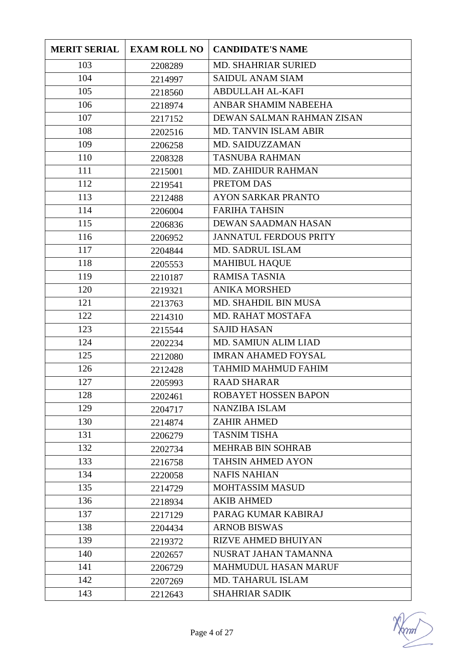| <b>MERIT SERIAL</b> | <b>EXAM ROLL NO</b> | <b>CANDIDATE'S NAME</b>       |
|---------------------|---------------------|-------------------------------|
| 103                 | 2208289             | MD. SHAHRIAR SURIED           |
| 104                 | 2214997             | <b>SAIDUL ANAM SIAM</b>       |
| 105                 | 2218560             | <b>ABDULLAH AL-KAFI</b>       |
| 106                 | 2218974             | ANBAR SHAMIM NABEEHA          |
| 107                 | 2217152             | DEWAN SALMAN RAHMAN ZISAN     |
| 108                 | 2202516             | MD. TANVIN ISLAM ABIR         |
| 109                 | 2206258             | MD. SAIDUZZAMAN               |
| 110                 | 2208328             | <b>TASNUBA RAHMAN</b>         |
| 111                 | 2215001             | <b>MD. ZAHIDUR RAHMAN</b>     |
| 112                 | 2219541             | PRETOM DAS                    |
| 113                 | 2212488             | <b>AYON SARKAR PRANTO</b>     |
| 114                 | 2206004             | <b>FARIHA TAHSIN</b>          |
| 115                 | 2206836             | DEWAN SAADMAN HASAN           |
| 116                 | 2206952             | <b>JANNATUL FERDOUS PRITY</b> |
| 117                 | 2204844             | <b>MD. SADRUL ISLAM</b>       |
| 118                 | 2205553             | <b>MAHIBUL HAQUE</b>          |
| 119                 | 2210187             | <b>RAMISA TASNIA</b>          |
| 120                 | 2219321             | <b>ANIKA MORSHED</b>          |
| 121                 | 2213763             | MD. SHAHDIL BIN MUSA          |
| 122                 | 2214310             | MD. RAHAT MOSTAFA             |
| 123                 | 2215544             | <b>SAJID HASAN</b>            |
| 124                 | 2202234             | <b>MD. SAMIUN ALIM LIAD</b>   |
| 125                 | 2212080             | <b>IMRAN AHAMED FOYSAL</b>    |
| 126                 | 2212428             | <b>TAHMID MAHMUD FAHIM</b>    |
| 127                 | 2205993             | <b>RAAD SHARAR</b>            |
| 128                 | 2202461             | ROBAYET HOSSEN BAPON          |
| 129                 | 2204717             | <b>NANZIBA ISLAM</b>          |
| 130                 | 2214874             | <b>ZAHIR AHMED</b>            |
| 131                 | 2206279             | <b>TASNIM TISHA</b>           |
| 132                 | 2202734             | <b>MEHRAB BIN SOHRAB</b>      |
| 133                 | 2216758             | <b>TAHSIN AHMED AYON</b>      |
| 134                 | 2220058             | <b>NAFIS NAHIAN</b>           |
| 135                 | 2214729             | <b>MOHTASSIM MASUD</b>        |
| 136                 | 2218934             | <b>AKIB AHMED</b>             |
| 137                 | 2217129             | PARAG KUMAR KABIRAJ           |
| 138                 | 2204434             | <b>ARNOB BISWAS</b>           |
| 139                 | 2219372             | <b>RIZVE AHMED BHUIYAN</b>    |
| 140                 | 2202657             | NUSRAT JAHAN TAMANNA          |
| 141                 | 2206729             | <b>MAHMUDUL HASAN MARUF</b>   |
| 142                 | 2207269             | <b>MD. TAHARUL ISLAM</b>      |
| 143                 | 2212643             | <b>SHAHRIAR SADIK</b>         |

mm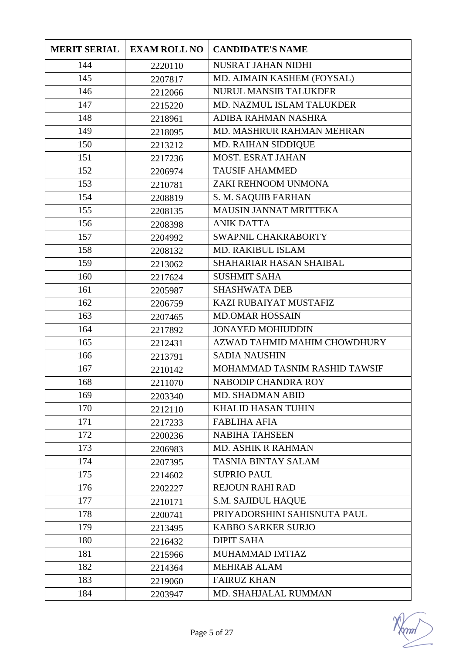| <b>MERIT SERIAL</b> | <b>EXAM ROLL NO</b> | <b>CANDIDATE'S NAME</b>        |
|---------------------|---------------------|--------------------------------|
| 144                 | 2220110             | NUSRAT JAHAN NIDHI             |
| 145                 | 2207817             | MD. AJMAIN KASHEM (FOYSAL)     |
| 146                 | 2212066             | <b>NURUL MANSIB TALUKDER</b>   |
| 147                 | 2215220             | MD. NAZMUL ISLAM TALUKDER      |
| 148                 | 2218961             | ADIBA RAHMAN NASHRA            |
| 149                 | 2218095             | MD. MASHRUR RAHMAN MEHRAN      |
| 150                 | 2213212             | MD. RAIHAN SIDDIQUE            |
| 151                 | 2217236             | MOST. ESRAT JAHAN              |
| 152                 | 2206974             | <b>TAUSIF AHAMMED</b>          |
| 153                 | 2210781             | ZAKI REHNOOM UNMONA            |
| 154                 | 2208819             | S. M. SAQUIB FARHAN            |
| 155                 | 2208135             | <b>MAUSIN JANNAT MRITTEKA</b>  |
| 156                 | 2208398             | <b>ANIK DATTA</b>              |
| 157                 | 2204992             | SWAPNIL CHAKRABORTY            |
| 158                 | 2208132             | <b>MD. RAKIBUL ISLAM</b>       |
| 159                 | 2213062             | <b>SHAHARIAR HASAN SHAIBAL</b> |
| 160                 | 2217624             | <b>SUSHMIT SAHA</b>            |
| 161                 | 2205987             | <b>SHASHWATA DEB</b>           |
| 162                 | 2206759             | KAZI RUBAIYAT MUSTAFIZ         |
| 163                 | 2207465             | <b>MD.OMAR HOSSAIN</b>         |
| 164                 | 2217892             | <b>JONAYED MOHIUDDIN</b>       |
| 165                 | 2212431             | AZWAD TAHMID MAHIM CHOWDHURY   |
| 166                 | 2213791             | <b>SADIA NAUSHIN</b>           |
| 167                 | 2210142             | MOHAMMAD TASNIM RASHID TAWSIF  |
| 168                 | 2211070             | <b>NABODIP CHANDRA ROY</b>     |
| 169                 | 2203340             | <b>MD. SHADMAN ABID</b>        |
| 170                 | 2212110             | <b>KHALID HASAN TUHIN</b>      |
| 171                 | 2217233             | <b>FABLIHA AFIA</b>            |
| 172                 | 2200236             | <b>NABIHA TAHSEEN</b>          |
| 173                 | 2206983             | <b>MD. ASHIK R RAHMAN</b>      |
| 174                 | 2207395             | <b>TASNIA BINTAY SALAM</b>     |
| 175                 | 2214602             | <b>SUPRIO PAUL</b>             |
| 176                 | 2202227             | <b>REJOUN RAHI RAD</b>         |
| 177                 | 2210171             | <b>S.M. SAJIDUL HAQUE</b>      |
| 178                 | 2200741             | PRIYADORSHINI SAHISNUTA PAUL   |
| 179                 | 2213495             | <b>KABBO SARKER SURJO</b>      |
| 180                 | 2216432             | <b>DIPIT SAHA</b>              |
| 181                 | 2215966             | MUHAMMAD IMTIAZ                |
| 182                 | 2214364             | <b>MEHRAB ALAM</b>             |
| 183                 | 2219060             | <b>FAIRUZ KHAN</b>             |
| 184                 | 2203947             | MD. SHAHJALAL RUMMAN           |

mm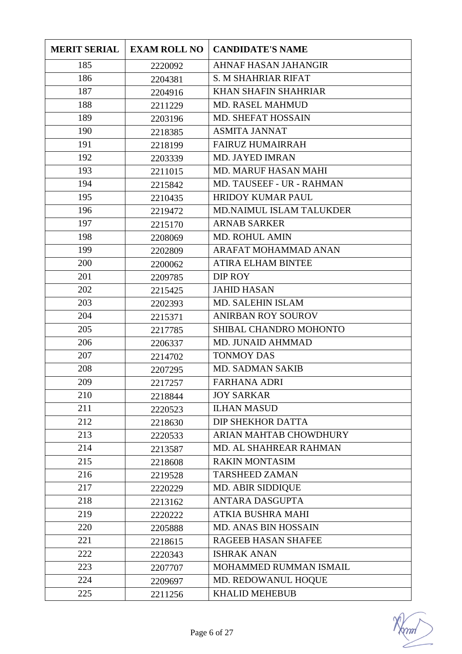| <b>MERIT SERIAL</b> | <b>EXAM ROLL NO</b> | <b>CANDIDATE'S NAME</b>     |
|---------------------|---------------------|-----------------------------|
| 185                 | 2220092             | <b>AHNAF HASAN JAHANGIR</b> |
| 186                 | 2204381             | <b>S. M SHAHRIAR RIFAT</b>  |
| 187                 | 2204916             | <b>KHAN SHAFIN SHAHRIAR</b> |
| 188                 | 2211229             | <b>MD. RASEL MAHMUD</b>     |
| 189                 | 2203196             | <b>MD. SHEFAT HOSSAIN</b>   |
| 190                 | 2218385             | <b>ASMITA JANNAT</b>        |
| 191                 | 2218199             | <b>FAIRUZ HUMAIRRAH</b>     |
| 192                 | 2203339             | <b>MD. JAYED IMRAN</b>      |
| 193                 | 2211015             | <b>MD. MARUF HASAN MAHI</b> |
| 194                 | 2215842             | MD. TAUSEEF - UR - RAHMAN   |
| 195                 | 2210435             | <b>HRIDOY KUMAR PAUL</b>    |
| 196                 | 2219472             | MD.NAIMUL ISLAM TALUKDER    |
| 197                 | 2215170             | <b>ARNAB SARKER</b>         |
| 198                 | 2208069             | <b>MD. ROHUL AMIN</b>       |
| 199                 | 2202809             | ARAFAT MOHAMMAD ANAN        |
| 200                 | 2200062             | <b>ATIRA ELHAM BINTEE</b>   |
| 201                 | 2209785             | DIP ROY                     |
| 202                 | 2215425             | <b>JAHID HASAN</b>          |
| 203                 | 2202393             | <b>MD. SALEHIN ISLAM</b>    |
| 204                 | 2215371             | <b>ANIRBAN ROY SOUROV</b>   |
| 205                 | 2217785             | SHIBAL CHANDRO MOHONTO      |
| 206                 | 2206337             | MD. JUNAID AHMMAD           |
| 207                 | 2214702             | <b>TONMOY DAS</b>           |
| 208                 | 2207295             | <b>MD. SADMAN SAKIB</b>     |
| 209                 | 2217257             | <b>FARHANA ADRI</b>         |
| 210                 | 2218844             | <b>JOY SARKAR</b>           |
| 211                 | 2220523             | <b>ILHAN MASUD</b>          |
| 212                 | 2218630             | DIP SHEKHOR DATTA           |
| 213                 | 2220533             | ARIAN MAHTAB CHOWDHURY      |
| 214                 | 2213587             | MD. AL SHAHREAR RAHMAN      |
| 215                 | 2218608             | <b>RAKIN MONTASIM</b>       |
| 216                 | 2219528             | <b>TARSHEED ZAMAN</b>       |
| 217                 | 2220229             | MD. ABIR SIDDIQUE           |
| 218                 | 2213162             | <b>ANTARA DASGUPTA</b>      |
| 219                 | 2220222             | <b>ATKIA BUSHRA MAHI</b>    |
| 220                 | 2205888             | MD. ANAS BIN HOSSAIN        |
| 221                 | 2218615             | RAGEEB HASAN SHAFEE         |
| 222                 | 2220343             | <b>ISHRAK ANAN</b>          |
| 223                 | 2207707             | MOHAMMED RUMMAN ISMAIL      |
| 224                 | 2209697             | MD. REDOWANUL HOQUE         |
| 225                 | 2211256             | <b>KHALID MEHEBUB</b>       |

mm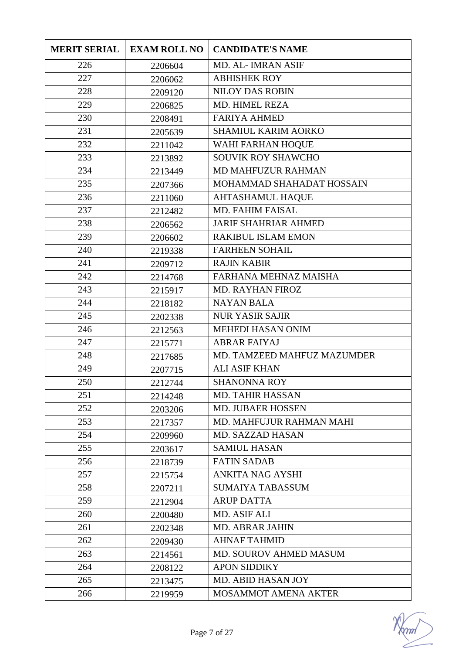| <b>MERIT SERIAL</b> | <b>EXAM ROLL NO</b> | <b>CANDIDATE'S NAME</b>     |
|---------------------|---------------------|-----------------------------|
| 226                 | 2206604             | <b>MD. AL-IMRAN ASIF</b>    |
| 227                 | 2206062             | <b>ABHISHEK ROY</b>         |
| 228                 | 2209120             | <b>NILOY DAS ROBIN</b>      |
| 229                 | 2206825             | MD. HIMEL REZA              |
| 230                 | 2208491             | <b>FARIYA AHMED</b>         |
| 231                 | 2205639             | <b>SHAMIUL KARIM AORKO</b>  |
| 232                 | 2211042             | WAHI FARHAN HOQUE           |
| 233                 | 2213892             | <b>SOUVIK ROY SHAWCHO</b>   |
| 234                 | 2213449             | <b>MD MAHFUZUR RAHMAN</b>   |
| 235                 | 2207366             | MOHAMMAD SHAHADAT HOSSAIN   |
| 236                 | 2211060             | <b>AHTASHAMUL HAQUE</b>     |
| 237                 | 2212482             | <b>MD. FAHIM FAISAL</b>     |
| 238                 | 2206562             | <b>JARIF SHAHRIAR AHMED</b> |
| 239                 | 2206602             | RAKIBUL ISLAM EMON          |
| 240                 | 2219338             | <b>FARHEEN SOHAIL</b>       |
| 241                 | 2209712             | <b>RAJIN KABIR</b>          |
| 242                 | 2214768             | FARHANA MEHNAZ MAISHA       |
| 243                 | 2215917             | <b>MD. RAYHAN FIROZ</b>     |
| 244                 | 2218182             | <b>NAYAN BALA</b>           |
| 245                 | 2202338             | <b>NUR YASIR SAJIR</b>      |
| 246                 | 2212563             | <b>MEHEDI HASAN ONIM</b>    |
| 247                 | 2215771             | <b>ABRAR FAIYAJ</b>         |
| 248                 | 2217685             | MD. TAMZEED MAHFUZ MAZUMDER |
| 249                 | 2207715             | <b>ALI ASIF KHAN</b>        |
| 250                 | 2212744             | <b>SHANONNA ROY</b>         |
| 251                 | 2214248             | <b>MD. TAHIR HASSAN</b>     |
| 252                 | 2203206             | <b>MD. JUBAER HOSSEN</b>    |
| 253                 | 2217357             | MD. MAHFUJUR RAHMAN MAHI    |
| 254                 | 2209960             | <b>MD. SAZZAD HASAN</b>     |
| 255                 | 2203617             | <b>SAMIUL HASAN</b>         |
| 256                 | 2218739             | <b>FATIN SADAB</b>          |
| 257                 | 2215754             | <b>ANKITA NAG AYSHI</b>     |
| 258                 | 2207211             | <b>SUMAIYA TABASSUM</b>     |
| 259                 | 2212904             | <b>ARUP DATTA</b>           |
| 260                 | 2200480             | MD. ASIF ALI                |
| 261                 | 2202348             | <b>MD. ABRAR JAHIN</b>      |
| 262                 | 2209430             | <b>AHNAF TAHMID</b>         |
| 263                 | 2214561             | MD. SOUROV AHMED MASUM      |
| 264                 | 2208122             | <b>APON SIDDIKY</b>         |
| 265                 | 2213475             | MD. ABID HASAN JOY          |
| 266                 | 2219959             | <b>MOSAMMOT AMENA AKTER</b> |

mm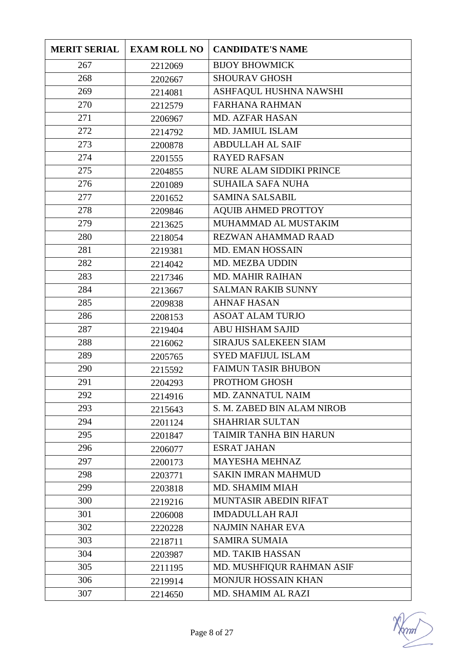| <b>MERIT SERIAL</b> | <b>EXAM ROLL NO</b> | <b>CANDIDATE'S NAME</b>      |
|---------------------|---------------------|------------------------------|
| 267                 | 2212069             | <b>BIJOY BHOWMICK</b>        |
| 268                 | 2202667             | <b>SHOURAV GHOSH</b>         |
| 269                 | 2214081             | ASHFAQUL HUSHNA NAWSHI       |
| 270                 | 2212579             | <b>FARHANA RAHMAN</b>        |
| 271                 | 2206967             | <b>MD. AZFAR HASAN</b>       |
| 272                 | 2214792             | MD. JAMIUL ISLAM             |
| 273                 | 2200878             | <b>ABDULLAH AL SAIF</b>      |
| 274                 | 2201555             | <b>RAYED RAFSAN</b>          |
| 275                 | 2204855             | NURE ALAM SIDDIKI PRINCE     |
| 276                 | 2201089             | <b>SUHAILA SAFA NUHA</b>     |
| 277                 | 2201652             | <b>SAMINA SALSABIL</b>       |
| 278                 | 2209846             | <b>AQUIB AHMED PROTTOY</b>   |
| 279                 | 2213625             | MUHAMMAD AL MUSTAKIM         |
| 280                 | 2218054             | <b>REZWAN AHAMMAD RAAD</b>   |
| 281                 | 2219381             | <b>MD. EMAN HOSSAIN</b>      |
| 282                 | 2214042             | MD. MEZBA UDDIN              |
| 283                 | 2217346             | <b>MD. MAHIR RAIHAN</b>      |
| 284                 | 2213667             | <b>SALMAN RAKIB SUNNY</b>    |
| 285                 | 2209838             | <b>AHNAF HASAN</b>           |
| 286                 | 2208153             | <b>ASOAT ALAM TURJO</b>      |
| 287                 | 2219404             | <b>ABU HISHAM SAJID</b>      |
| 288                 | 2216062             | <b>SIRAJUS SALEKEEN SIAM</b> |
| 289                 | 2205765             | <b>SYED MAFIJUL ISLAM</b>    |
| 290                 | 2215592             | <b>FAIMUN TASIR BHUBON</b>   |
| 291                 | 2204293             | PROTHOM GHOSH                |
| 292                 | 2214916             | MD. ZANNATUL NAIM            |
| 293                 | 2215643             | S. M. ZABED BIN ALAM NIROB   |
| 294                 | 2201124             | <b>SHAHRIAR SULTAN</b>       |
| 295                 | 2201847             | TAIMIR TANHA BIN HARUN       |
| 296                 | 2206077             | <b>ESRAT JAHAN</b>           |
| 297                 | 2200173             | <b>MAYESHA MEHNAZ</b>        |
| 298                 | 2203771             | <b>SAKIN IMRAN MAHMUD</b>    |
| 299                 | 2203818             | MD. SHAMIM MIAH              |
| 300                 | 2219216             | <b>MUNTASIR ABEDIN RIFAT</b> |
| 301                 | 2206008             | <b>IMDADULLAH RAJI</b>       |
| 302                 | 2220228             | <b>NAJMIN NAHAR EVA</b>      |
| 303                 | 2218711             | <b>SAMIRA SUMAIA</b>         |
| 304                 | 2203987             | <b>MD. TAKIB HASSAN</b>      |
| 305                 | 2211195             | MD. MUSHFIQUR RAHMAN ASIF    |
| 306                 | 2219914             | <b>MONJUR HOSSAIN KHAN</b>   |
| 307                 | 2214650             | MD. SHAMIM AL RAZI           |

mm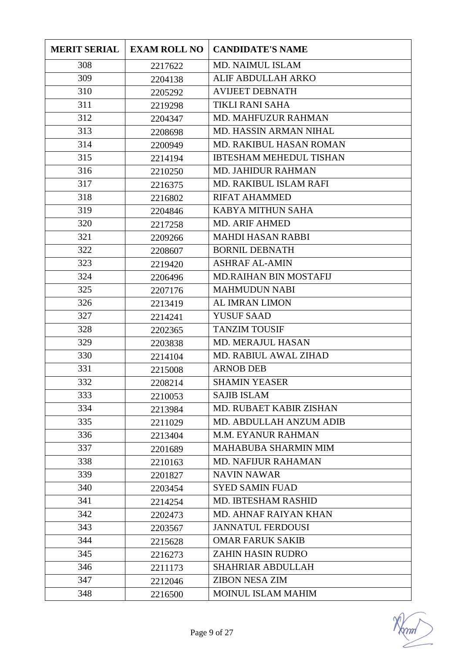| <b>MERIT SERIAL</b> | <b>EXAM ROLL NO</b> | <b>CANDIDATE'S NAME</b>        |
|---------------------|---------------------|--------------------------------|
| 308                 | 2217622             | MD. NAIMUL ISLAM               |
| 309                 | 2204138             | ALIF ABDULLAH ARKO             |
| 310                 | 2205292             | <b>AVIJEET DEBNATH</b>         |
| 311                 | 2219298             | TIKLI RANI SAHA                |
| 312                 | 2204347             | <b>MD. MAHFUZUR RAHMAN</b>     |
| 313                 | 2208698             | <b>MD. HASSIN ARMAN NIHAL</b>  |
| 314                 | 2200949             | MD. RAKIBUL HASAN ROMAN        |
| 315                 | 2214194             | <b>IBTESHAM MEHEDUL TISHAN</b> |
| 316                 | 2210250             | <b>MD. JAHIDUR RAHMAN</b>      |
| 317                 | 2216375             | MD. RAKIBUL ISLAM RAFI         |
| 318                 | 2216802             | <b>RIFAT AHAMMED</b>           |
| 319                 | 2204846             | KABYA MITHUN SAHA              |
| 320                 | 2217258             | <b>MD. ARIF AHMED</b>          |
| 321                 | 2209266             | <b>MAHDI HASAN RABBI</b>       |
| 322                 | 2208607             | <b>BORNIL DEBNATH</b>          |
| 323                 | 2219420             | <b>ASHRAF AL-AMIN</b>          |
| 324                 | 2206496             | <b>MD.RAIHAN BIN MOSTAFIJ</b>  |
| 325                 | 2207176             | <b>MAHMUDUN NABI</b>           |
| 326                 | 2213419             | <b>AL IMRAN LIMON</b>          |
| 327                 | 2214241             | <b>YUSUF SAAD</b>              |
| 328                 | 2202365             | <b>TANZIM TOUSIF</b>           |
| 329                 | 2203838             | <b>MD. MERAJUL HASAN</b>       |
| 330                 | 2214104             | <b>MD. RABIUL AWAL ZIHAD</b>   |
| 331                 | 2215008             | <b>ARNOB DEB</b>               |
| 332                 | 2208214             | <b>SHAMIN YEASER</b>           |
| 333                 | 2210053             | <b>SAJIB ISLAM</b>             |
| 334                 | 2213984             | MD. RUBAET KABIR ZISHAN        |
| 335                 | 2211029             | MD. ABDULLAH ANZUM ADIB        |
| 336                 | 2213404             | <b>M.M. EYANUR RAHMAN</b>      |
| 337                 | 2201689             | <b>MAHABUBA SHARMIN MIM</b>    |
| 338                 | 2210163             | <b>MD. NAFIJUR RAHAMAN</b>     |
| 339                 | 2201827             | <b>NAVIN NAWAR</b>             |
| 340                 | 2203454             | <b>SYED SAMIN FUAD</b>         |
| 341                 | 2214254             | <b>MD. IBTESHAM RASHID</b>     |
| 342                 | 2202473             | MD. AHNAF RAIYAN KHAN          |
| 343                 | 2203567             | <b>JANNATUL FERDOUSI</b>       |
| 344                 | 2215628             | <b>OMAR FARUK SAKIB</b>        |
| 345                 | 2216273             | <b>ZAHIN HASIN RUDRO</b>       |
| 346                 | 2211173             | <b>SHAHRIAR ABDULLAH</b>       |
| 347                 | 2212046             | <b>ZIBON NESA ZIM</b>          |
| 348                 | 2216500             | MOINUL ISLAM MAHIM             |

 $\gamma$ m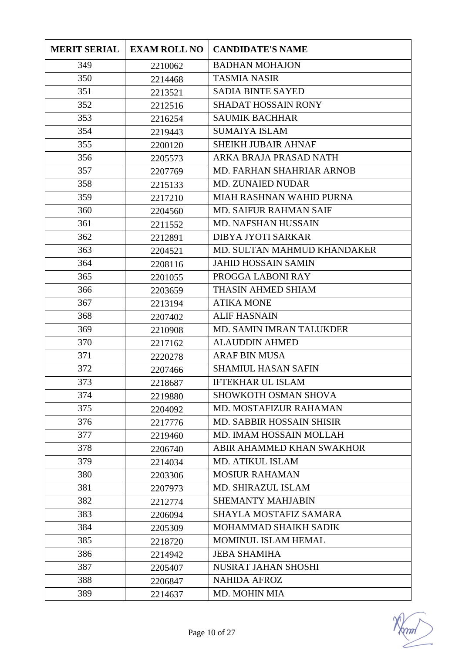| <b>MERIT SERIAL</b> | <b>EXAM ROLL NO</b> | <b>CANDIDATE'S NAME</b>          |
|---------------------|---------------------|----------------------------------|
| 349                 | 2210062             | <b>BADHAN MOHAJON</b>            |
| 350                 | 2214468             | <b>TASMIA NASIR</b>              |
| 351                 | 2213521             | <b>SADIA BINTE SAYED</b>         |
| 352                 | 2212516             | <b>SHADAT HOSSAIN RONY</b>       |
| 353                 | 2216254             | <b>SAUMIK BACHHAR</b>            |
| 354                 | 2219443             | <b>SUMAIYA ISLAM</b>             |
| 355                 | 2200120             | SHEIKH JUBAIR AHNAF              |
| 356                 | 2205573             | ARKA BRAJA PRASAD NATH           |
| 357                 | 2207769             | <b>MD. FARHAN SHAHRIAR ARNOB</b> |
| 358                 | 2215133             | <b>MD. ZUNAIED NUDAR</b>         |
| 359                 | 2217210             | MIAH RASHNAN WAHID PURNA         |
| 360                 | 2204560             | <b>MD. SAIFUR RAHMAN SAIF</b>    |
| 361                 | 2211552             | <b>MD. NAFSHAN HUSSAIN</b>       |
| 362                 | 2212891             | <b>DIBYA JYOTI SARKAR</b>        |
| 363                 | 2204521             | MD. SULTAN MAHMUD KHANDAKER      |
| 364                 | 2208116             | <b>JAHID HOSSAIN SAMIN</b>       |
| 365                 | 2201055             | PROGGA LABONI RAY                |
| 366                 | 2203659             | THASIN AHMED SHIAM               |
| 367                 | 2213194             | <b>ATIKA MONE</b>                |
| 368                 | 2207402             | <b>ALIF HASNAIN</b>              |
| 369                 | 2210908             | MD. SAMIN IMRAN TALUKDER         |
| 370                 | 2217162             | <b>ALAUDDIN AHMED</b>            |
| 371                 | 2220278             | <b>ARAF BIN MUSA</b>             |
| 372                 | 2207466             | <b>SHAMIUL HASAN SAFIN</b>       |
| 373                 | 2218687             | <b>IFTEKHAR UL ISLAM</b>         |
| 374                 | 2219880             | SHOWKOTH OSMAN SHOVA             |
| 375                 | 2204092             | MD. MOSTAFIZUR RAHAMAN           |
| 376                 | 2217776             | MD. SABBIR HOSSAIN SHISIR        |
| 377                 | 2219460             | MD. IMAM HOSSAIN MOLLAH          |
| 378                 | 2206740             | ABIR AHAMMED KHAN SWAKHOR        |
| 379                 | 2214034             | <b>MD. ATIKUL ISLAM</b>          |
| 380                 | 2203306             | <b>MOSIUR RAHAMAN</b>            |
| 381                 | 2207973             | MD. SHIRAZUL ISLAM               |
| 382                 | 2212774             | <b>SHEMANTY MAHJABIN</b>         |
| 383                 | 2206094             | SHAYLA MOSTAFIZ SAMARA           |
| 384                 | 2205309             | MOHAMMAD SHAIKH SADIK            |
| 385                 | 2218720             | MOMINUL ISLAM HEMAL              |
| 386                 | 2214942             | <b>JEBA SHAMIHA</b>              |
| 387                 | 2205407             | NUSRAT JAHAN SHOSHI              |
| 388                 | 2206847             | <b>NAHIDA AFROZ</b>              |
| 389                 | 2214637             | MD. MOHIN MIA                    |

mm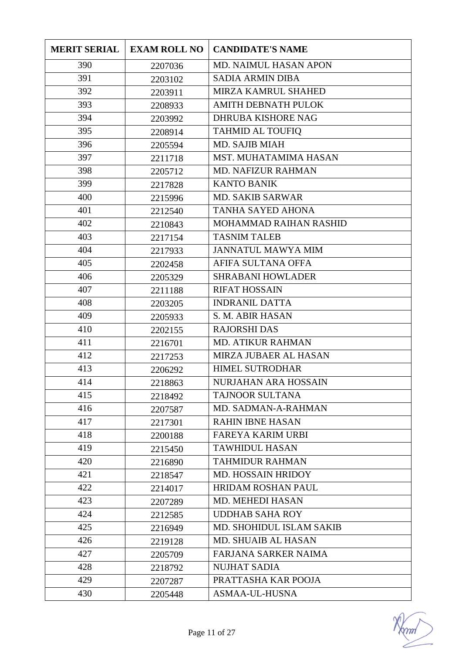| <b>MERIT SERIAL</b> | <b>EXAM ROLL NO</b> | <b>CANDIDATE'S NAME</b>     |
|---------------------|---------------------|-----------------------------|
| 390                 | 2207036             | MD. NAIMUL HASAN APON       |
| 391                 | 2203102             | <b>SADIA ARMIN DIBA</b>     |
| 392                 | 2203911             | MIRZA KAMRUL SHAHED         |
| 393                 | 2208933             | <b>AMITH DEBNATH PULOK</b>  |
| 394                 | 2203992             | <b>DHRUBA KISHORE NAG</b>   |
| 395                 | 2208914             | <b>TAHMID AL TOUFIQ</b>     |
| 396                 | 2205594             | MD. SAJIB MIAH              |
| 397                 | 2211718             | MST. MUHATAMIMA HASAN       |
| 398                 | 2205712             | <b>MD. NAFIZUR RAHMAN</b>   |
| 399                 | 2217828             | <b>KANTO BANIK</b>          |
| 400                 | 2215996             | <b>MD. SAKIB SARWAR</b>     |
| 401                 | 2212540             | TANHA SAYED AHONA           |
| 402                 | 2210843             | MOHAMMAD RAIHAN RASHID      |
| 403                 | 2217154             | <b>TASNIM TALEB</b>         |
| 404                 | 2217933             | <b>JANNATUL MAWYA MIM</b>   |
| 405                 | 2202458             | AFIFA SULTANA OFFA          |
| 406                 | 2205329             | <b>SHRABANI HOWLADER</b>    |
| 407                 | 2211188             | <b>RIFAT HOSSAIN</b>        |
| 408                 | 2203205             | <b>INDRANIL DATTA</b>       |
| 409                 | 2205933             | S. M. ABIR HASAN            |
| 410                 | 2202155             | <b>RAJORSHI DAS</b>         |
| 411                 | 2216701             | <b>MD. ATIKUR RAHMAN</b>    |
| 412                 | 2217253             | MIRZA JUBAER AL HASAN       |
| 413                 | 2206292             | <b>HIMEL SUTRODHAR</b>      |
| 414                 | 2218863             | NURJAHAN ARA HOSSAIN        |
| 415                 | 2218492             | TAJNOOR SULTANA             |
| 416                 | 2207587             | MD. SADMAN-A-RAHMAN         |
| 417                 | 2217301             | <b>RAHIN IBNE HASAN</b>     |
| 418                 | 2200188             | <b>FAREYA KARIM URBI</b>    |
| 419                 | 2215450             | <b>TAWHIDUL HASAN</b>       |
| 420                 | 2216890             | <b>TAHMIDUR RAHMAN</b>      |
| 421                 | 2218547             | MD. HOSSAIN HRIDOY          |
| 422                 | 2214017             | <b>HRIDAM ROSHAN PAUL</b>   |
| 423                 | 2207289             | MD. MEHEDI HASAN            |
| 424                 | 2212585             | <b>UDDHAB SAHA ROY</b>      |
| 425                 | 2216949             | MD. SHOHIDUL ISLAM SAKIB    |
| 426                 | 2219128             | <b>MD. SHUAIB AL HASAN</b>  |
| 427                 | 2205709             | <b>FARJANA SARKER NAIMA</b> |
| 428                 | 2218792             | <b>NUJHAT SADIA</b>         |
| 429                 | 2207287             | PRATTASHA KAR POOJA         |
| 430                 | 2205448             | ASMAA-UL-HUSNA              |

mm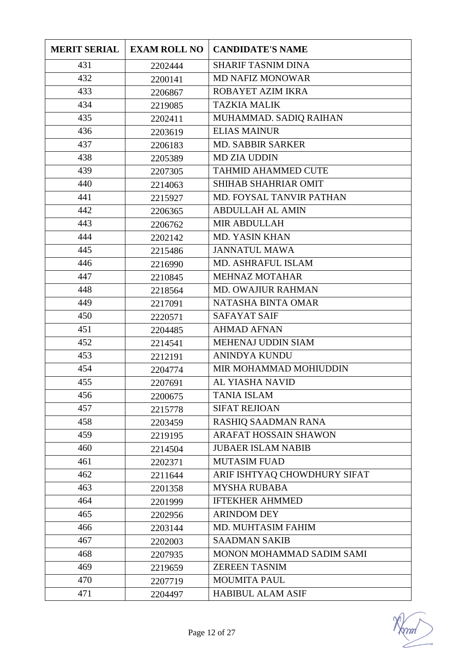| <b>MERIT SERIAL</b> | <b>EXAM ROLL NO</b> | <b>CANDIDATE'S NAME</b>      |
|---------------------|---------------------|------------------------------|
| 431                 | 2202444             | <b>SHARIF TASNIM DINA</b>    |
| 432                 | 2200141             | <b>MD NAFIZ MONOWAR</b>      |
| 433                 | 2206867             | ROBAYET AZIM IKRA            |
| 434                 | 2219085             | <b>TAZKIA MALIK</b>          |
| 435                 | 2202411             | MUHAMMAD. SADIQ RAIHAN       |
| 436                 | 2203619             | <b>ELIAS MAINUR</b>          |
| 437                 | 2206183             | <b>MD. SABBIR SARKER</b>     |
| 438                 | 2205389             | <b>MD ZIA UDDIN</b>          |
| 439                 | 2207305             | <b>TAHMID AHAMMED CUTE</b>   |
| 440                 | 2214063             | SHIHAB SHAHRIAR OMIT         |
| 441                 | 2215927             | MD. FOYSAL TANVIR PATHAN     |
| 442                 | 2206365             | <b>ABDULLAH AL AMIN</b>      |
| 443                 | 2206762             | <b>MIR ABDULLAH</b>          |
| 444                 | 2202142             | MD. YASIN KHAN               |
| 445                 | 2215486             | <b>JANNATUL MAWA</b>         |
| 446                 | 2216990             | <b>MD. ASHRAFUL ISLAM</b>    |
| 447                 | 2210845             | <b>MEHNAZ MOTAHAR</b>        |
| 448                 | 2218564             | <b>MD. OWAJIUR RAHMAN</b>    |
| 449                 | 2217091             | NATASHA BINTA OMAR           |
| 450                 | 2220571             | <b>SAFAYAT SAIF</b>          |
| 451                 | 2204485             | <b>AHMAD AFNAN</b>           |
| 452                 | 2214541             | MEHENAJ UDDIN SIAM           |
| 453                 | 2212191             | <b>ANINDYA KUNDU</b>         |
| 454                 | 2204774             | MIR MOHAMMAD MOHIUDDIN       |
| 455                 | 2207691             | AL YIASHA NAVID              |
| 456                 | 2200675             | <b>TANIA ISLAM</b>           |
| 457                 | 2215778             | <b>SIFAT REJIOAN</b>         |
| 458                 | 2203459             | RASHIQ SAADMAN RANA          |
| 459                 | 2219195             | <b>ARAFAT HOSSAIN SHAWON</b> |
| 460                 | 2214504             | <b>JUBAER ISLAM NABIB</b>    |
| 461                 | 2202371             | <b>MUTASIM FUAD</b>          |
| 462                 | 2211644             | ARIF ISHTYAQ CHOWDHURY SIFAT |
| 463                 | 2201358             | <b>MYSHA RUBABA</b>          |
| 464                 | 2201999             | <b>IFTEKHER AHMMED</b>       |
| 465                 | 2202956             | <b>ARINDOM DEY</b>           |
| 466                 | 2203144             | MD. MUHTASIM FAHIM           |
| 467                 | 2202003             | <b>SAADMAN SAKIB</b>         |
| 468                 | 2207935             | MONON MOHAMMAD SADIM SAMI    |
| 469                 | 2219659             | <b>ZEREEN TASNIM</b>         |
| 470                 | 2207719             | <b>MOUMITA PAUL</b>          |
| 471                 | 2204497             | <b>HABIBUL ALAM ASIF</b>     |

mm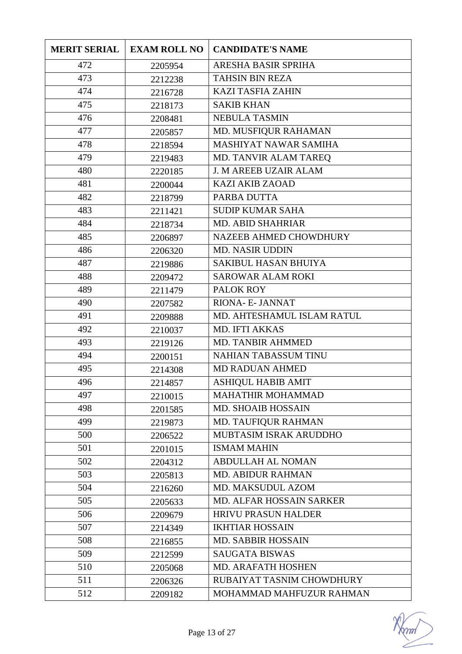| <b>MERIT SERIAL</b> | <b>EXAM ROLL NO</b> | <b>CANDIDATE'S NAME</b>         |
|---------------------|---------------------|---------------------------------|
| 472                 | 2205954             | ARESHA BASIR SPRIHA             |
| 473                 | 2212238             | <b>TAHSIN BIN REZA</b>          |
| 474                 | 2216728             | <b>KAZI TASFIA ZAHIN</b>        |
| 475                 | 2218173             | <b>SAKIB KHAN</b>               |
| 476                 | 2208481             | <b>NEBULA TASMIN</b>            |
| 477                 | 2205857             | MD. MUSFIQUR RAHAMAN            |
| 478                 | 2218594             | MASHIYAT NAWAR SAMIHA           |
| 479                 | 2219483             | MD. TANVIR ALAM TAREQ           |
| 480                 | 2220185             | <b>J. M AREEB UZAIR ALAM</b>    |
| 481                 | 2200044             | <b>KAZI AKIB ZAOAD</b>          |
| 482                 | 2218799             | PARBA DUTTA                     |
| 483                 | 2211421             | <b>SUDIP KUMAR SAHA</b>         |
| 484                 | 2218734             | <b>MD. ABID SHAHRIAR</b>        |
| 485                 | 2206897             | NAZEEB AHMED CHOWDHURY          |
| 486                 | 2206320             | <b>MD. NASIR UDDIN</b>          |
| 487                 | 2219886             | SAKIBUL HASAN BHUIYA            |
| 488                 | 2209472             | <b>SAROWAR ALAM ROKI</b>        |
| 489                 | 2211479             | PALOK ROY                       |
| 490                 | 2207582             | RIONA- E- JANNAT                |
| 491                 | 2209888             | MD. AHTESHAMUL ISLAM RATUL      |
| 492                 | 2210037             | <b>MD. IFTI AKKAS</b>           |
| 493                 | 2219126             | <b>MD. TANBIR AHMMED</b>        |
| 494                 | 2200151             | <b>NAHIAN TABASSUM TINU</b>     |
| 495                 | 2214308             | <b>MD RADUAN AHMED</b>          |
| 496                 | 2214857             | <b>ASHIQUL HABIB AMIT</b>       |
| 497                 | 2210015             | MAHATHIR MOHAMMAD               |
| 498                 | 2201585             | <b>MD. SHOAIB HOSSAIN</b>       |
| 499                 | 2219873             | <b>MD. TAUFIQUR RAHMAN</b>      |
| 500                 | 2206522             | MUBTASIM ISRAK ARUDDHO          |
| 501                 | 2201015             | <b>ISMAM MAHIN</b>              |
| 502                 | 2204312             | <b>ABDULLAH AL NOMAN</b>        |
| 503                 | 2205813             | <b>MD. ABIDUR RAHMAN</b>        |
| 504                 | 2216260             | MD. MAKSUDUL AZOM               |
| 505                 | 2205633             | <b>MD. ALFAR HOSSAIN SARKER</b> |
| 506                 | 2209679             | <b>HRIVU PRASUN HALDER</b>      |
| 507                 | 2214349             | <b>IKHTIAR HOSSAIN</b>          |
| 508                 | 2216855             | <b>MD. SABBIR HOSSAIN</b>       |
| 509                 | 2212599             | <b>SAUGATA BISWAS</b>           |
| 510                 | 2205068             | <b>MD. ARAFATH HOSHEN</b>       |
| 511                 | 2206326             | RUBAIYAT TASNIM CHOWDHURY       |
| 512                 | 2209182             | MOHAMMAD MAHFUZUR RAHMAN        |

mm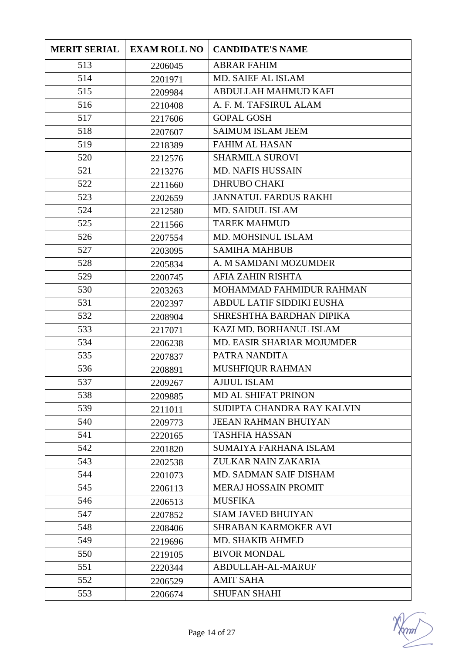| <b>MERIT SERIAL</b> | <b>EXAM ROLL NO</b> | <b>CANDIDATE'S NAME</b>      |
|---------------------|---------------------|------------------------------|
| 513                 | 2206045             | <b>ABRAR FAHIM</b>           |
| 514                 | 2201971             | <b>MD. SAIEF AL ISLAM</b>    |
| 515                 | 2209984             | ABDULLAH MAHMUD KAFI         |
| 516                 | 2210408             | A. F. M. TAFSIRUL ALAM       |
| 517                 | 2217606             | <b>GOPAL GOSH</b>            |
| 518                 | 2207607             | <b>SAIMUM ISLAM JEEM</b>     |
| 519                 | 2218389             | <b>FAHIM AL HASAN</b>        |
| 520                 | 2212576             | <b>SHARMILA SUROVI</b>       |
| 521                 | 2213276             | <b>MD. NAFIS HUSSAIN</b>     |
| 522                 | 2211660             | <b>DHRUBO CHAKI</b>          |
| 523                 | 2202659             | <b>JANNATUL FARDUS RAKHI</b> |
| 524                 | 2212580             | <b>MD. SAIDUL ISLAM</b>      |
| 525                 | 2211566             | <b>TAREK MAHMUD</b>          |
| 526                 | 2207554             | MD. MOHSINUL ISLAM           |
| 527                 | 2203095             | <b>SAMIHA MAHBUB</b>         |
| 528                 | 2205834             | A. M SAMDANI MOZUMDER        |
| 529                 | 2200745             | AFIA ZAHIN RISHTA            |
| 530                 | 2203263             | MOHAMMAD FAHMIDUR RAHMAN     |
| 531                 | 2202397             | ABDUL LATIF SIDDIKI EUSHA    |
| 532                 | 2208904             | SHRESHTHA BARDHAN DIPIKA     |
| 533                 | 2217071             | KAZI MD. BORHANUL ISLAM      |
| 534                 | 2206238             | MD. EASIR SHARIAR MOJUMDER   |
| 535                 | 2207837             | PATRA NANDITA                |
| 536                 | 2208891             | <b>MUSHFIQUR RAHMAN</b>      |
| 537                 | 2209267             | <b>AJIJUL ISLAM</b>          |
| 538                 | 2209885             | MD AL SHIFAT PRINON          |
| 539                 | 2211011             | SUDIPTA CHANDRA RAY KALVIN   |
| 540                 | 2209773             | <b>JEEAN RAHMAN BHUIYAN</b>  |
| 541                 | 2220165             | <b>TASHFIA HASSAN</b>        |
| 542                 | 2201820             | SUMAIYA FARHANA ISLAM        |
| 543                 | 2202538             | ZULKAR NAIN ZAKARIA          |
| 544                 | 2201073             | MD. SADMAN SAIF DISHAM       |
| 545                 | 2206113             | <b>MERAJ HOSSAIN PROMIT</b>  |
| 546                 | 2206513             | <b>MUSFIKA</b>               |
| 547                 | 2207852             | <b>SIAM JAVED BHUIYAN</b>    |
| 548                 | 2208406             | <b>SHRABAN KARMOKER AVI</b>  |
| 549                 | 2219696             | <b>MD. SHAKIB AHMED</b>      |
| 550                 | 2219105             | <b>BIVOR MONDAL</b>          |
| 551                 | 2220344             | ABDULLAH-AL-MARUF            |
| 552                 | 2206529             | <b>AMIT SAHA</b>             |
| 553                 | 2206674             | <b>SHUFAN SHAHI</b>          |

mm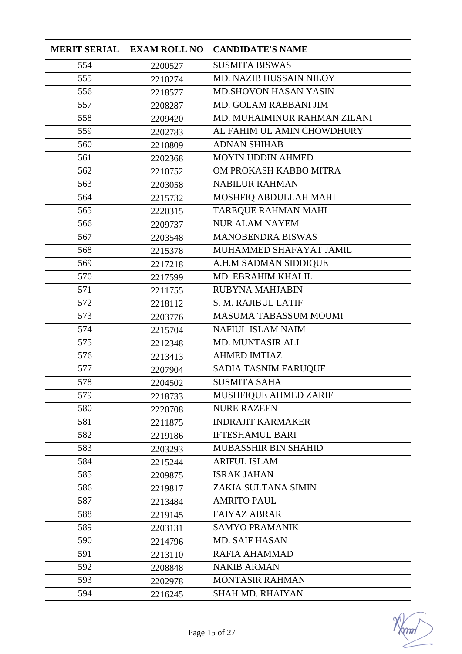| <b>MERIT SERIAL</b> | <b>EXAM ROLL NO</b> | <b>CANDIDATE'S NAME</b>      |
|---------------------|---------------------|------------------------------|
| 554                 | 2200527             | <b>SUSMITA BISWAS</b>        |
| 555                 | 2210274             | MD. NAZIB HUSSAIN NILOY      |
| 556                 | 2218577             | <b>MD.SHOVON HASAN YASIN</b> |
| 557                 | 2208287             | MD. GOLAM RABBANI JIM        |
| 558                 | 2209420             | MD. MUHAIMINUR RAHMAN ZILANI |
| 559                 | 2202783             | AL FAHIM UL AMIN CHOWDHURY   |
| 560                 | 2210809             | <b>ADNAN SHIHAB</b>          |
| 561                 | 2202368             | MOYIN UDDIN AHMED            |
| 562                 | 2210752             | OM PROKASH KABBO MITRA       |
| 563                 | 2203058             | <b>NABILUR RAHMAN</b>        |
| 564                 | 2215732             | MOSHFIQ ABDULLAH MAHI        |
| 565                 | 2220315             | <b>TAREQUE RAHMAN MAHI</b>   |
| 566                 | 2209737             | <b>NUR ALAM NAYEM</b>        |
| 567                 | 2203548             | <b>MANOBENDRA BISWAS</b>     |
| 568                 | 2215378             | MUHAMMED SHAFAYAT JAMIL      |
| 569                 | 2217218             | A.H.M SADMAN SIDDIQUE        |
| 570                 | 2217599             | MD. EBRAHIM KHALIL           |
| 571                 | 2211755             | <b>RUBYNA MAHJABIN</b>       |
| 572                 | 2218112             | S. M. RAJIBUL LATIF          |
| 573                 | 2203776             | MASUMA TABASSUM MOUMI        |
| 574                 | 2215704             | <b>NAFIUL ISLAM NAIM</b>     |
| 575                 | 2212348             | <b>MD. MUNTASIR ALI</b>      |
| 576                 | 2213413             | <b>AHMED IMTIAZ</b>          |
| 577                 | 2207904             | SADIA TASNIM FARUQUE         |
| 578                 | 2204502             | <b>SUSMITA SAHA</b>          |
| 579                 | 2218733             | MUSHFIQUE AHMED ZARIF        |
| 580                 | 2220708             | <b>NURE RAZEEN</b>           |
| 581                 | 2211875             | <b>INDRAJIT KARMAKER</b>     |
| 582                 | 2219186             | <b>IFTESHAMUL BARI</b>       |
| 583                 | 2203293             | <b>MUBASSHIR BIN SHAHID</b>  |
| 584                 | 2215244             | <b>ARIFUL ISLAM</b>          |
| 585                 | 2209875             | <b>ISRAK JAHAN</b>           |
| 586                 | 2219817             | ZAKIA SULTANA SIMIN          |
| 587                 | 2213484             | <b>AMRITO PAUL</b>           |
| 588                 | 2219145             | <b>FAIYAZ ABRAR</b>          |
| 589                 | 2203131             | <b>SAMYO PRAMANIK</b>        |
| 590                 | 2214796             | <b>MD. SAIF HASAN</b>        |
| 591                 | 2213110             | <b>RAFIA AHAMMAD</b>         |
| 592                 | 2208848             | <b>NAKIB ARMAN</b>           |
| 593                 | 2202978             | MONTASIR RAHMAN              |
| 594                 | 2216245             | <b>SHAH MD. RHAIYAN</b>      |

mm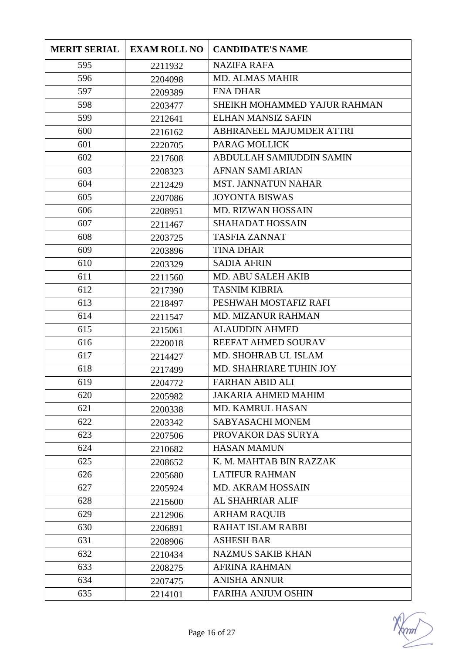| <b>MERIT SERIAL</b> | <b>EXAM ROLL NO</b> | <b>CANDIDATE'S NAME</b>      |
|---------------------|---------------------|------------------------------|
| 595                 | 2211932             | <b>NAZIFA RAFA</b>           |
| 596                 | 2204098             | <b>MD. ALMAS MAHIR</b>       |
| 597                 | 2209389             | <b>ENA DHAR</b>              |
| 598                 | 2203477             | SHEIKH MOHAMMED YAJUR RAHMAN |
| 599                 | 2212641             | <b>ELHAN MANSIZ SAFIN</b>    |
| 600                 | 2216162             | ABHRANEEL MAJUMDER ATTRI     |
| 601                 | 2220705             | PARAG MOLLICK                |
| 602                 | 2217608             | ABDULLAH SAMIUDDIN SAMIN     |
| 603                 | 2208323             | <b>AFNAN SAMI ARIAN</b>      |
| 604                 | 2212429             | <b>MST. JANNATUN NAHAR</b>   |
| 605                 | 2207086             | <b>JOYONTA BISWAS</b>        |
| 606                 | 2208951             | MD. RIZWAN HOSSAIN           |
| 607                 | 2211467             | <b>SHAHADAT HOSSAIN</b>      |
| 608                 | 2203725             | <b>TASFIA ZANNAT</b>         |
| 609                 | 2203896             | <b>TINA DHAR</b>             |
| 610                 | 2203329             | <b>SADIA AFRIN</b>           |
| 611                 | 2211560             | <b>MD. ABU SALEH AKIB</b>    |
| 612                 | 2217390             | <b>TASNIM KIBRIA</b>         |
| 613                 | 2218497             | PESHWAH MOSTAFIZ RAFI        |
| 614                 | 2211547             | <b>MD. MIZANUR RAHMAN</b>    |
| 615                 | 2215061             | <b>ALAUDDIN AHMED</b>        |
| 616                 | 2220018             | REEFAT AHMED SOURAV          |
| 617                 | 2214427             | MD. SHOHRAB UL ISLAM         |
| 618                 | 2217499             | MD. SHAHRIARE TUHIN JOY      |
| 619                 | 2204772             | <b>FARHAN ABID ALI</b>       |
| 620                 | 2205982             | <b>JAKARIA AHMED MAHIM</b>   |
| 621                 | 2200338             | <b>MD. KAMRUL HASAN</b>      |
| 622                 | 2203342             | SABYASACHI MONEM             |
| 623                 | 2207506             | PROVAKOR DAS SURYA           |
| 624                 | 2210682             | <b>HASAN MAMUN</b>           |
| 625                 | 2208652             | K. M. MAHTAB BIN RAZZAK      |
| 626                 | 2205680             | <b>LATIFUR RAHMAN</b>        |
| 627                 | 2205924             | <b>MD. AKRAM HOSSAIN</b>     |
| 628                 | 2215600             | AL SHAHRIAR ALIF             |
| 629                 | 2212906             | <b>ARHAM RAQUIB</b>          |
| 630                 | 2206891             | <b>RAHAT ISLAM RABBI</b>     |
| 631                 | 2208906             | <b>ASHESH BAR</b>            |
| 632                 | 2210434             | <b>NAZMUS SAKIB KHAN</b>     |
| 633                 | 2208275             | <b>AFRINA RAHMAN</b>         |
| 634                 | 2207475             | <b>ANISHA ANNUR</b>          |
| 635                 | 2214101             | <b>FARIHA ANJUM OSHIN</b>    |

mm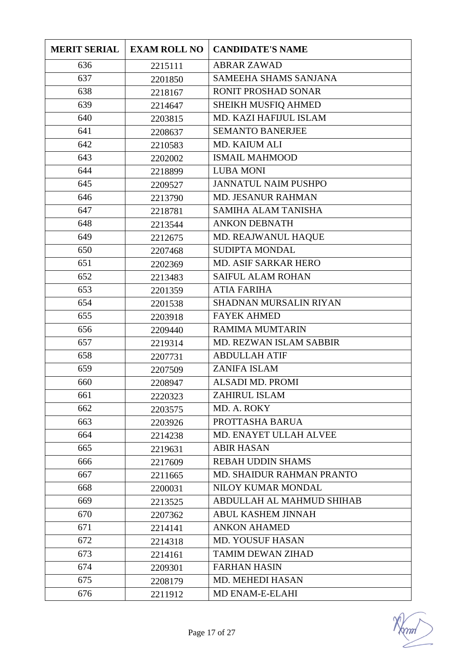| <b>MERIT SERIAL</b> | <b>EXAM ROLL NO</b> | <b>CANDIDATE'S NAME</b>      |
|---------------------|---------------------|------------------------------|
| 636                 | 2215111             | <b>ABRAR ZAWAD</b>           |
| 637                 | 2201850             | <b>SAMEEHA SHAMS SANJANA</b> |
| 638                 | 2218167             | <b>RONIT PROSHAD SONAR</b>   |
| 639                 | 2214647             | SHEIKH MUSFIQ AHMED          |
| 640                 | 2203815             | MD. KAZI HAFIJUL ISLAM       |
| 641                 | 2208637             | <b>SEMANTO BANERJEE</b>      |
| 642                 | 2210583             | <b>MD. KAIUM ALI</b>         |
| 643                 | 2202002             | <b>ISMAIL MAHMOOD</b>        |
| 644                 | 2218899             | <b>LUBA MONI</b>             |
| 645                 | 2209527             | <b>JANNATUL NAIM PUSHPO</b>  |
| 646                 | 2213790             | <b>MD. JESANUR RAHMAN</b>    |
| 647                 | 2218781             | <b>SAMIHA ALAM TANISHA</b>   |
| 648                 | 2213544             | <b>ANKON DEBNATH</b>         |
| 649                 | 2212675             | MD. REAJWANUL HAQUE          |
| 650                 | 2207468             | <b>SUDIPTA MONDAL</b>        |
| 651                 | 2202369             | <b>MD. ASIF SARKAR HERO</b>  |
| 652                 | 2213483             | <b>SAIFUL ALAM ROHAN</b>     |
| 653                 | 2201359             | <b>ATIA FARIHA</b>           |
| 654                 | 2201538             | SHADNAN MURSALIN RIYAN       |
| 655                 | 2203918             | <b>FAYEK AHMED</b>           |
| 656                 | 2209440             | <b>RAMIMA MUMTARIN</b>       |
| 657                 | 2219314             | MD. REZWAN ISLAM SABBIR      |
| 658                 | 2207731             | <b>ABDULLAH ATIF</b>         |
| 659                 | 2207509             | <b>ZANIFA ISLAM</b>          |
| 660                 | 2208947             | <b>ALSADI MD. PROMI</b>      |
| 661                 | 2220323             | ZAHIRUL ISLAM                |
| 662                 | 2203575             | MD. A. ROKY                  |
| 663                 | 2203926             | PROTTASHA BARUA              |
| 664                 | 2214238             | MD. ENAYET ULLAH ALVEE       |
| 665                 | 2219631             | <b>ABIR HASAN</b>            |
| 666                 | 2217609             | <b>REBAH UDDIN SHAMS</b>     |
| 667                 | 2211665             | MD. SHAIDUR RAHMAN PRANTO    |
| 668                 | 2200031             | NILOY KUMAR MONDAL           |
| 669                 | 2213525             | ABDULLAH AL MAHMUD SHIHAB    |
| 670                 | 2207362             | <b>ABUL KASHEM JINNAH</b>    |
| 671                 | 2214141             | <b>ANKON AHAMED</b>          |
| 672                 | 2214318             | <b>MD. YOUSUF HASAN</b>      |
| 673                 | 2214161             | <b>TAMIM DEWAN ZIHAD</b>     |
| 674                 | 2209301             | <b>FARHAN HASIN</b>          |
| 675                 | 2208179             | <b>MD. MEHEDI HASAN</b>      |
| 676                 | 2211912             | MD ENAM-E-ELAHI              |

mm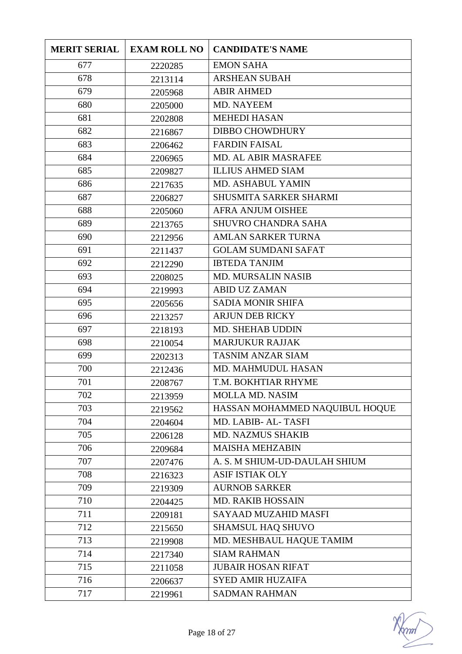| <b>MERIT SERIAL</b> | <b>EXAM ROLL NO</b> | <b>CANDIDATE'S NAME</b>        |
|---------------------|---------------------|--------------------------------|
| 677                 | 2220285             | <b>EMON SAHA</b>               |
| 678                 | 2213114             | <b>ARSHEAN SUBAH</b>           |
| 679                 | 2205968             | <b>ABIR AHMED</b>              |
| 680                 | 2205000             | MD. NAYEEM                     |
| 681                 | 2202808             | <b>MEHEDI HASAN</b>            |
| 682                 | 2216867             | <b>DIBBO CHOWDHURY</b>         |
| 683                 | 2206462             | <b>FARDIN FAISAL</b>           |
| 684                 | 2206965             | <b>MD. AL ABIR MASRAFEE</b>    |
| 685                 | 2209827             | <b>ILLIUS AHMED SIAM</b>       |
| 686                 | 2217635             | MD. ASHABUL YAMIN              |
| 687                 | 2206827             | <b>SHUSMITA SARKER SHARMI</b>  |
| 688                 | 2205060             | <b>AFRA ANJUM OISHEE</b>       |
| 689                 | 2213765             | <b>SHUVRO CHANDRA SAHA</b>     |
| 690                 | 2212956             | <b>AMLAN SARKER TURNA</b>      |
| 691                 | 2211437             | <b>GOLAM SUMDANI SAFAT</b>     |
| 692                 | 2212290             | <b>IBTEDA TANJIM</b>           |
| 693                 | 2208025             | <b>MD. MURSALIN NASIB</b>      |
| 694                 | 2219993             | <b>ABID UZ ZAMAN</b>           |
| 695                 | 2205656             | <b>SADIA MONIR SHIFA</b>       |
| 696                 | 2213257             | <b>ARJUN DEB RICKY</b>         |
| 697                 | 2218193             | <b>MD. SHEHAB UDDIN</b>        |
| 698                 | 2210054             | <b>MARJUKUR RAJJAK</b>         |
| 699                 | 2202313             | <b>TASNIM ANZAR SIAM</b>       |
| 700                 | 2212436             | MD. MAHMUDUL HASAN             |
| 701                 | 2208767             | T.M. BOKHTIAR RHYME            |
| 702                 | 2213959             | <b>MOLLA MD. NASIM</b>         |
| 703                 | 2219562             | HASSAN MOHAMMED NAQUIBUL HOQUE |
| 704                 | 2204604             | MD. LABIB- AL-TASFI            |
| 705                 | 2206128             | <b>MD. NAZMUS SHAKIB</b>       |
| 706                 | 2209684             | <b>MAISHA MEHZABIN</b>         |
| 707                 | 2207476             | A. S. M SHIUM-UD-DAULAH SHIUM  |
| 708                 | 2216323             | <b>ASIF ISTIAK OLY</b>         |
| 709                 | 2219309             | <b>AURNOB SARKER</b>           |
| 710                 | 2204425             | <b>MD. RAKIB HOSSAIN</b>       |
| 711                 | 2209181             | SAYAAD MUZAHID MASFI           |
| 712                 | 2215650             | <b>SHAMSUL HAQ SHUVO</b>       |
| 713                 | 2219908             | MD. MESHBAUL HAQUE TAMIM       |
| 714                 | 2217340             | <b>SIAM RAHMAN</b>             |
| 715                 | 2211058             | <b>JUBAIR HOSAN RIFAT</b>      |
| 716                 | 2206637             | <b>SYED AMIR HUZAIFA</b>       |
| 717                 | 2219961             | <b>SADMAN RAHMAN</b>           |

mm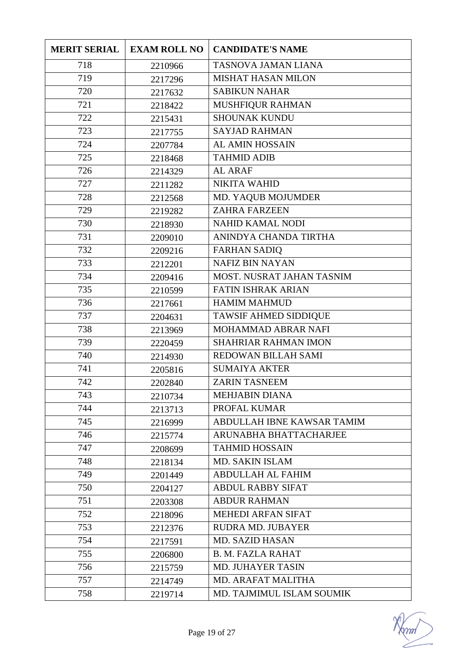| <b>MERIT SERIAL</b> | <b>EXAM ROLL NO</b> | <b>CANDIDATE'S NAME</b>      |
|---------------------|---------------------|------------------------------|
| 718                 | 2210966             | TASNOVA JAMAN LIANA          |
| 719                 | 2217296             | MISHAT HASAN MILON           |
| 720                 | 2217632             | <b>SABIKUN NAHAR</b>         |
| 721                 | 2218422             | MUSHFIQUR RAHMAN             |
| 722                 | 2215431             | <b>SHOUNAK KUNDU</b>         |
| 723                 | 2217755             | <b>SAYJAD RAHMAN</b>         |
| 724                 | 2207784             | <b>AL AMIN HOSSAIN</b>       |
| 725                 | 2218468             | <b>TAHMID ADIB</b>           |
| 726                 | 2214329             | <b>AL ARAF</b>               |
| 727                 | 2211282             | <b>NIKITA WAHID</b>          |
| 728                 | 2212568             | MD. YAQUB MOJUMDER           |
| 729                 | 2219282             | <b>ZAHRA FARZEEN</b>         |
| 730                 | 2218930             | NAHID KAMAL NODI             |
| 731                 | 2209010             | ANINDYA CHANDA TIRTHA        |
| 732                 | 2209216             | <b>FARHAN SADIQ</b>          |
| 733                 | 2212201             | <b>NAFIZ BIN NAYAN</b>       |
| 734                 | 2209416             | MOST. NUSRAT JAHAN TASNIM    |
| 735                 | 2210599             | <b>FATIN ISHRAK ARIAN</b>    |
| 736                 | 2217661             | <b>HAMIM MAHMUD</b>          |
| 737                 | 2204631             | <b>TAWSIF AHMED SIDDIQUE</b> |
| 738                 | 2213969             | MOHAMMAD ABRAR NAFI          |
| 739                 | 2220459             | <b>SHAHRIAR RAHMAN IMON</b>  |
| 740                 | 2214930             | REDOWAN BILLAH SAMI          |
| 741                 | 2205816             | <b>SUMAIYA AKTER</b>         |
| 742                 | 2202840             | <b>ZARIN TASNEEM</b>         |
| 743                 | 2210734             | <b>MEHJABIN DIANA</b>        |
| 744                 | 2213713             | PROFAL KUMAR                 |
| 745                 | 2216999             | ABDULLAH IBNE KAWSAR TAMIM   |
| 746                 | 2215774             | ARUNABHA BHATTACHARJEE       |
| 747                 | 2208699             | <b>TAHMID HOSSAIN</b>        |
| 748                 | 2218134             | <b>MD. SAKIN ISLAM</b>       |
| 749                 | 2201449             | <b>ABDULLAH AL FAHIM</b>     |
| 750                 | 2204127             | <b>ABDUL RABBY SIFAT</b>     |
| 751                 | 2203308             | <b>ABDUR RAHMAN</b>          |
| 752                 | 2218096             | <b>MEHEDI ARFAN SIFAT</b>    |
| 753                 | 2212376             | <b>RUDRA MD. JUBAYER</b>     |
| 754                 | 2217591             | <b>MD. SAZID HASAN</b>       |
| 755                 | 2206800             | <b>B. M. FAZLA RAHAT</b>     |
| 756                 | 2215759             | <b>MD. JUHAYER TASIN</b>     |
| 757                 | 2214749             | <b>MD. ARAFAT MALITHA</b>    |
| 758                 | 2219714             | MD. TAJMIMUL ISLAM SOUMIK    |

mm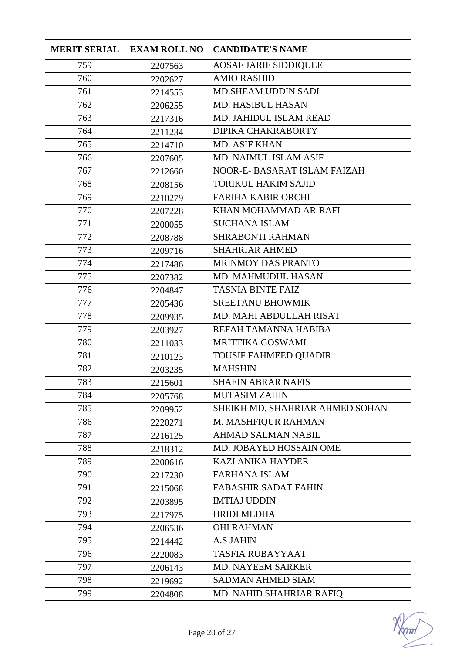| <b>MERIT SERIAL</b> | <b>EXAM ROLL NO</b> | <b>CANDIDATE'S NAME</b>         |
|---------------------|---------------------|---------------------------------|
| 759                 | 2207563             | <b>AOSAF JARIF SIDDIQUEE</b>    |
| 760                 | 2202627             | <b>AMIO RASHID</b>              |
| 761                 | 2214553             | <b>MD.SHEAM UDDIN SADI</b>      |
| 762                 | 2206255             | <b>MD. HASIBUL HASAN</b>        |
| 763                 | 2217316             | <b>MD. JAHIDUL ISLAM READ</b>   |
| 764                 | 2211234             | DIPIKA CHAKRABORTY              |
| 765                 | 2214710             | <b>MD. ASIF KHAN</b>            |
| 766                 | 2207605             | MD. NAIMUL ISLAM ASIF           |
| 767                 | 2212660             | NOOR-E- BASARAT ISLAM FAIZAH    |
| 768                 | 2208156             | <b>TORIKUL HAKIM SAJID</b>      |
| 769                 | 2210279             | <b>FARIHA KABIR ORCHI</b>       |
| 770                 | 2207228             | KHAN MOHAMMAD AR-RAFI           |
| 771                 | 2200055             | <b>SUCHANA ISLAM</b>            |
| 772                 | 2208788             | <b>SHRABONTI RAHMAN</b>         |
| 773                 | 2209716             | <b>SHAHRIAR AHMED</b>           |
| 774                 | 2217486             | MRINMOY DAS PRANTO              |
| 775                 | 2207382             | MD. MAHMUDUL HASAN              |
| 776                 | 2204847             | <b>TASNIA BINTE FAIZ</b>        |
| 777                 | 2205436             | <b>SREETANU BHOWMIK</b>         |
| 778                 | 2209935             | MD. MAHI ABDULLAH RISAT         |
| 779                 | 2203927             | REFAH TAMANNA HABIBA            |
| 780                 | 2211033             | MRITTIKA GOSWAMI                |
| 781                 | 2210123             | <b>TOUSIF FAHMEED QUADIR</b>    |
| 782                 | 2203235             | <b>MAHSHIN</b>                  |
| 783                 | 2215601             | <b>SHAFIN ABRAR NAFIS</b>       |
| 784                 | 2205768             | <b>MUTASIM ZAHIN</b>            |
| 785                 | 2209952             | SHEIKH MD. SHAHRIAR AHMED SOHAN |
| 786                 | 2220271             | M. MASHFIQUR RAHMAN             |
| 787                 | 2216125             | <b>AHMAD SALMAN NABIL</b>       |
| 788                 | 2218312             | MD. JOBAYED HOSSAIN OME         |
| 789                 | 2200616             | <b>KAZI ANIKA HAYDER</b>        |
| 790                 | 2217230             | <b>FARHANA ISLAM</b>            |
| 791                 | 2215068             | <b>FABASHIR SADAT FAHIN</b>     |
| 792                 | 2203895             | <b>IMTIAJ UDDIN</b>             |
| 793                 | 2217975             | <b>HRIDI MEDHA</b>              |
| 794                 | 2206536             | <b>OHI RAHMAN</b>               |
| 795                 | 2214442             | <b>A.S JAHIN</b>                |
| 796                 | 2220083             | <b>TASFIA RUBAYYAAT</b>         |
| 797                 | 2206143             | <b>MD. NAYEEM SARKER</b>        |
| 798                 | 2219692             | <b>SADMAN AHMED SIAM</b>        |
| 799                 | 2204808             | MD. NAHID SHAHRIAR RAFIQ        |

 $\gamma$ ml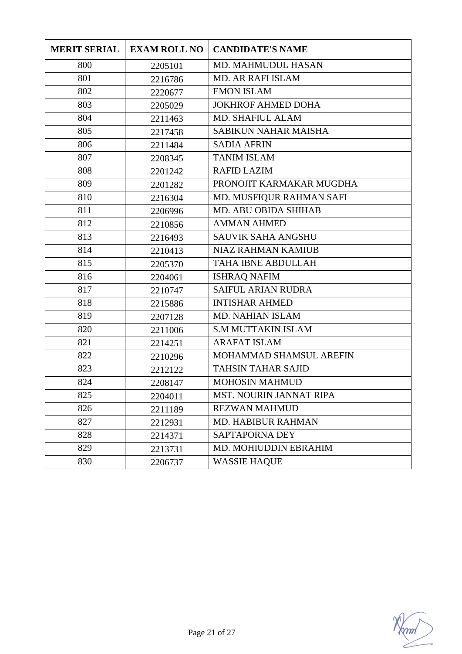| <b>MERIT SERIAL</b> | <b>EXAM ROLL NO</b> | <b>CANDIDATE'S NAME</b>     |
|---------------------|---------------------|-----------------------------|
| 800                 | 2205101             | MD. MAHMUDUL HASAN          |
| 801                 | 2216786             | <b>MD. AR RAFI ISLAM</b>    |
| 802                 | 2220677             | <b>EMON ISLAM</b>           |
| 803                 | 2205029             | <b>JOKHROF AHMED DOHA</b>   |
| 804                 | 2211463             | <b>MD. SHAFIUL ALAM</b>     |
| 805                 | 2217458             | <b>SABIKUN NAHAR MAISHA</b> |
| 806                 | 2211484             | <b>SADIA AFRIN</b>          |
| 807                 | 2208345             | <b>TANIM ISLAM</b>          |
| 808                 | 2201242             | <b>RAFID LAZIM</b>          |
| 809                 | 2201282             | PRONOJIT KARMAKAR MUGDHA    |
| 810                 | 2216304             | MD. MUSFIQUR RAHMAN SAFI    |
| 811                 | 2206996             | MD. ABU OBIDA SHIHAB        |
| 812                 | 2210856             | <b>AMMAN AHMED</b>          |
| 813                 | 2216493             | <b>SAUVIK SAHA ANGSHU</b>   |
| 814                 | 2210413             | <b>NIAZ RAHMAN KAMIUB</b>   |
| 815                 | 2205370             | TAHA IBNE ABDULLAH          |
| 816                 | 2204061             | <b>ISHRAQ NAFIM</b>         |
| 817                 | 2210747             | <b>SAIFUL ARIAN RUDRA</b>   |
| 818                 | 2215886             | <b>INTISHAR AHMED</b>       |
| 819                 | 2207128             | <b>MD. NAHIAN ISLAM</b>     |
| 820                 | 2211006             | <b>S.M MUTTAKIN ISLAM</b>   |
| 821                 | 2214251             | <b>ARAFAT ISLAM</b>         |
| 822                 | 2210296             | MOHAMMAD SHAMSUL AREFIN     |
| 823                 | 2212122             | <b>TAHSIN TAHAR SAJID</b>   |
| 824                 | 2208147             | <b>MOHOSIN MAHMUD</b>       |
| 825                 | 2204011             | MST. NOURIN JANNAT RIPA     |
| 826                 | 2211189             | <b>REZWAN MAHMUD</b>        |
| 827                 | 2212931             | <b>MD. HABIBUR RAHMAN</b>   |
| 828                 | 2214371             | <b>SAPTAPORNA DEY</b>       |
| 829                 | 2213731             | MD. MOHIUDDIN EBRAHIM       |
| 830                 | 2206737             | <b>WASSIE HAQUE</b>         |

 $\mathcal{W}$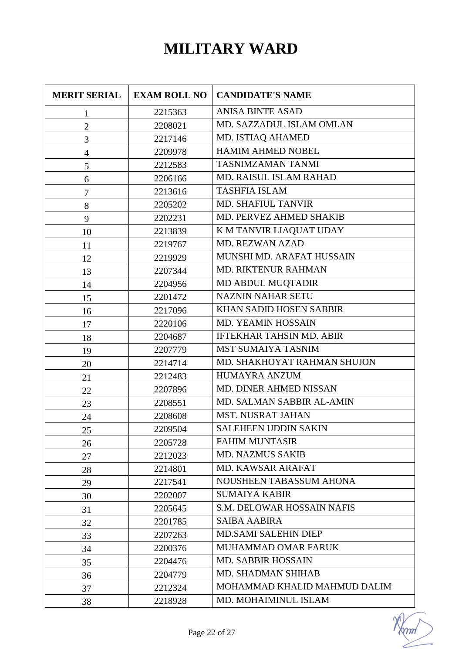## **MILITARY WARD**

| <b>MERIT SERIAL</b> | <b>EXAM ROLL NO</b> | <b>CANDIDATE'S NAME</b>           |
|---------------------|---------------------|-----------------------------------|
| $\mathbf{1}$        | 2215363             | <b>ANISA BINTE ASAD</b>           |
| $\mathbf{2}$        | 2208021             | MD. SAZZADUL ISLAM OMLAN          |
| 3                   | 2217146             | MD. ISTIAQ AHAMED                 |
| $\overline{4}$      | 2209978             | <b>HAMIM AHMED NOBEL</b>          |
| 5                   | 2212583             | <b>TASNIMZAMAN TANMI</b>          |
| 6                   | 2206166             | MD. RAISUL ISLAM RAHAD            |
| $\tau$              | 2213616             | <b>TASHFIA ISLAM</b>              |
| $8\,$               | 2205202             | MD. SHAFIUL TANVIR                |
| 9                   | 2202231             | MD. PERVEZ AHMED SHAKIB           |
| 10                  | 2213839             | K M TANVIR LIAQUAT UDAY           |
| 11                  | 2219767             | <b>MD. REZWAN AZAD</b>            |
| 12                  | 2219929             | MUNSHI MD. ARAFAT HUSSAIN         |
| 13                  | 2207344             | <b>MD. RIKTENUR RAHMAN</b>        |
| 14                  | 2204956             | MD ABDUL MUQTADIR                 |
| 15                  | 2201472             | <b>NAZNIN NAHAR SETU</b>          |
| 16                  | 2217096             | KHAN SADID HOSEN SABBIR           |
| 17                  | 2220106             | MD. YEAMIN HOSSAIN                |
| 18                  | 2204687             | <b>IFTEKHAR TAHSIN MD. ABIR</b>   |
| 19                  | 2207779             | <b>MST SUMAIYA TASNIM</b>         |
| 20                  | 2214714             | MD. SHAKHOYAT RAHMAN SHUJON       |
| 21                  | 2212483             | HUMAYRA ANZUM                     |
| 22                  | 2207896             | MD. DINER AHMED NISSAN            |
| 23                  | 2208551             | MD. SALMAN SABBIR AL-AMIN         |
| 24                  | 2208608             | <b>MST. NUSRAT JAHAN</b>          |
| 25                  | 2209504             | <b>SALEHEEN UDDIN SAKIN</b>       |
| 26                  | 2205728             | <b>FAHIM MUNTASIR</b>             |
| 27                  | 2212023             | <b>MD. NAZMUS SAKIB</b>           |
| 28                  | 2214801             | MD. KAWSAR ARAFAT                 |
| 29                  | 2217541             | <b>NOUSHEEN TABASSUM AHONA</b>    |
| 30                  | 2202007             | <b>SUMAIYA KABIR</b>              |
| 31                  | 2205645             | <b>S.M. DELOWAR HOSSAIN NAFIS</b> |
| 32                  | 2201785             | <b>SAIBA AABIRA</b>               |
| 33                  | 2207263             | <b>MD.SAMI SALEHIN DIEP</b>       |
| 34                  | 2200376             | MUHAMMAD OMAR FARUK               |
| 35                  | 2204476             | <b>MD. SABBIR HOSSAIN</b>         |
| 36                  | 2204779             | MD. SHADMAN SHIHAB                |
| 37                  | 2212324             | MOHAMMAD KHALID MAHMUD DALIM      |
| 38                  | 2218928             | MD. MOHAIMINUL ISLAM              |

 $\gamma$ ml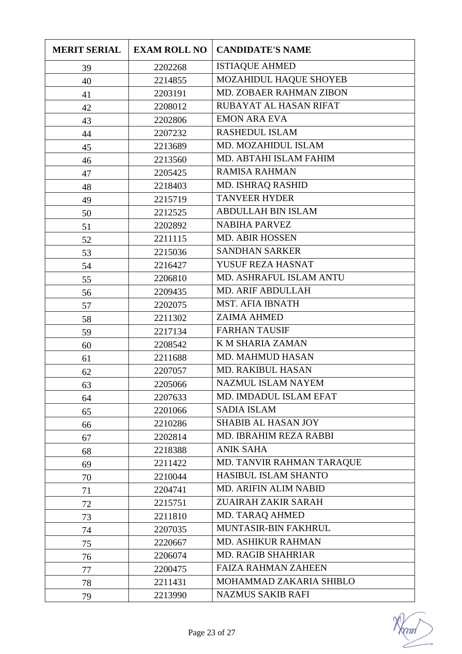| <b>MERIT SERIAL</b> | <b>EXAM ROLL NO</b> | <b>CANDIDATE'S NAME</b>     |
|---------------------|---------------------|-----------------------------|
| 39                  | 2202268             | <b>ISTIAQUE AHMED</b>       |
| 40                  | 2214855             | MOZAHIDUL HAQUE SHOYEB      |
| 41                  | 2203191             | MD. ZOBAER RAHMAN ZIBON     |
| 42                  | 2208012             | RUBAYAT AL HASAN RIFAT      |
| 43                  | 2202806             | <b>EMON ARA EVA</b>         |
| 44                  | 2207232             | <b>RASHEDUL ISLAM</b>       |
| 45                  | 2213689             | MD. MOZAHIDUL ISLAM         |
| 46                  | 2213560             | MD. ABTAHI ISLAM FAHIM      |
| 47                  | 2205425             | <b>RAMISA RAHMAN</b>        |
| 48                  | 2218403             | MD. ISHRAQ RASHID           |
| 49                  | 2215719             | <b>TANVEER HYDER</b>        |
| 50                  | 2212525             | <b>ABDULLAH BIN ISLAM</b>   |
| 51                  | 2202892             | <b>NABIHA PARVEZ</b>        |
| 52                  | 2211115             | <b>MD. ABIR HOSSEN</b>      |
| 53                  | 2215036             | <b>SANDHAN SARKER</b>       |
| 54                  | 2216427             | YUSUF REZA HASNAT           |
| 55                  | 2206810             | MD. ASHRAFUL ISLAM ANTU     |
| 56                  | 2209435             | <b>MD. ARIF ABDULLAH</b>    |
| 57                  | 2202075             | <b>MST. AFIA IBNATH</b>     |
| 58                  | 2211302             | <b>ZAIMA AHMED</b>          |
| 59                  | 2217134             | <b>FARHAN TAUSIF</b>        |
| 60                  | 2208542             | K M SHARIA ZAMAN            |
| 61                  | 2211688             | <b>MD. MAHMUD HASAN</b>     |
| 62                  | 2207057             | <b>MD. RAKIBUL HASAN</b>    |
| 63                  | 2205066             | <b>NAZMUL ISLAM NAYEM</b>   |
| 64                  | 2207633             | MD. IMDADUL ISLAM EFAT      |
| 65                  | 2201066             | <b>SADIA ISLAM</b>          |
| 66                  | 2210286             | <b>SHABIB AL HASAN JOY</b>  |
| 67                  | 2202814             | MD. IBRAHIM REZA RABBI      |
| 68                  | 2218388             | <b>ANIK SAHA</b>            |
| 69                  | 2211422             | MD. TANVIR RAHMAN TARAQUE   |
| 70                  | 2210044             | <b>HASIBUL ISLAM SHANTO</b> |
| 71                  | 2204741             | MD. ARIFIN ALIM NABID       |
| 72                  | 2215751             | ZUAIRAH ZAKIR SARAH         |
| 73                  | 2211810             | MD. TARAQ AHMED             |
| 74                  | 2207035             | MUNTASIR-BIN FAKHRUL        |
| 75                  | 2220667             | MD. ASHIKUR RAHMAN          |
| 76                  | 2206074             | <b>MD. RAGIB SHAHRIAR</b>   |
| 77                  | 2200475             | <b>FAIZA RAHMAN ZAHEEN</b>  |
| 78                  | 2211431             | MOHAMMAD ZAKARIA SHIBLO     |
| 79                  | 2213990             | <b>NAZMUS SAKIB RAFI</b>    |

mm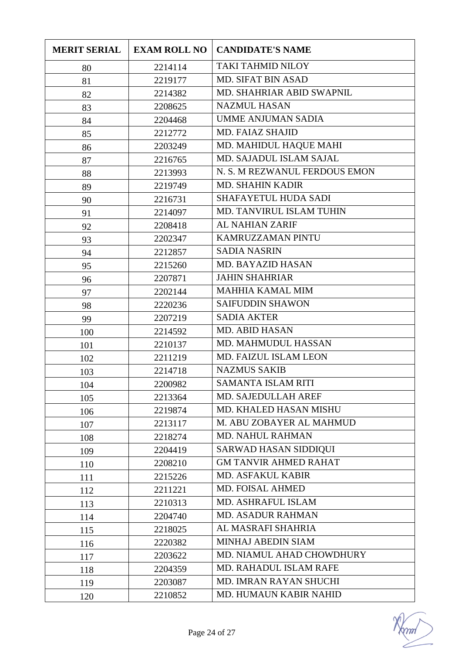| <b>MERIT SERIAL</b> | <b>EXAM ROLL NO</b> | <b>CANDIDATE'S NAME</b>       |
|---------------------|---------------------|-------------------------------|
| 80                  | 2214114             | <b>TAKI TAHMID NILOY</b>      |
| 81                  | 2219177             | MD. SIFAT BIN ASAD            |
| 82                  | 2214382             | MD. SHAHRIAR ABID SWAPNIL     |
| 83                  | 2208625             | <b>NAZMUL HASAN</b>           |
| 84                  | 2204468             | <b>UMME ANJUMAN SADIA</b>     |
| 85                  | 2212772             | MD. FAIAZ SHAJID              |
| 86                  | 2203249             | MD. MAHIDUL HAQUE MAHI        |
| 87                  | 2216765             | MD. SAJADUL ISLAM SAJAL       |
| 88                  | 2213993             | N. S. M REZWANUL FERDOUS EMON |
| 89                  | 2219749             | <b>MD. SHAHIN KADIR</b>       |
| 90                  | 2216731             | SHAFAYETUL HUDA SADI          |
| 91                  | 2214097             | MD. TANVIRUL ISLAM TUHIN      |
| 92                  | 2208418             | <b>AL NAHIAN ZARIF</b>        |
| 93                  | 2202347             | KAMRUZZAMAN PINTU             |
| 94                  | 2212857             | <b>SADIA NASRIN</b>           |
| 95                  | 2215260             | <b>MD. BAYAZID HASAN</b>      |
| 96                  | 2207871             | <b>JAHIN SHAHRIAR</b>         |
| 97                  | 2202144             | <b>MAHHIA KAMAL MIM</b>       |
| 98                  | 2220236             | <b>SAIFUDDIN SHAWON</b>       |
| 99                  | 2207219             | <b>SADIA AKTER</b>            |
| 100                 | 2214592             | <b>MD. ABID HASAN</b>         |
| 101                 | 2210137             | MD. MAHMUDUL HASSAN           |
| 102                 | 2211219             | MD. FAIZUL ISLAM LEON         |
| 103                 | 2214718             | <b>NAZMUS SAKIB</b>           |
| 104                 | 2200982             | SAMANTA ISLAM RITI            |
| 105                 | 2213364             | MD. SAJEDULLAH AREF           |
| 106                 | 2219874             | MD. KHALED HASAN MISHU        |
| 107                 | 2213117             | M. ABU ZOBAYER AL MAHMUD      |
| 108                 | 2218274             | <b>MD. NAHUL RAHMAN</b>       |
| 109                 | 2204419             | <b>SARWAD HASAN SIDDIQUI</b>  |
| 110                 | 2208210             | <b>GM TANVIR AHMED RAHAT</b>  |
| 111                 | 2215226             | MD. ASFAKUL KABIR             |
| 112                 | 2211221             | MD. FOISAL AHMED              |
| 113                 | 2210313             | MD. ASHRAFUL ISLAM            |
| 114                 | 2204740             | <b>MD. ASADUR RAHMAN</b>      |
| 115                 | 2218025             | AL MASRAFI SHAHRIA            |
| 116                 | 2220382             | MINHAJ ABEDIN SIAM            |
| 117                 | 2203622             | MD. NIAMUL AHAD CHOWDHURY     |
| 118                 | 2204359             | MD. RAHADUL ISLAM RAFE        |
| 119                 | 2203087             | MD. IMRAN RAYAN SHUCHI        |
| 120                 | 2210852             | MD. HUMAUN KABIR NAHID        |

mm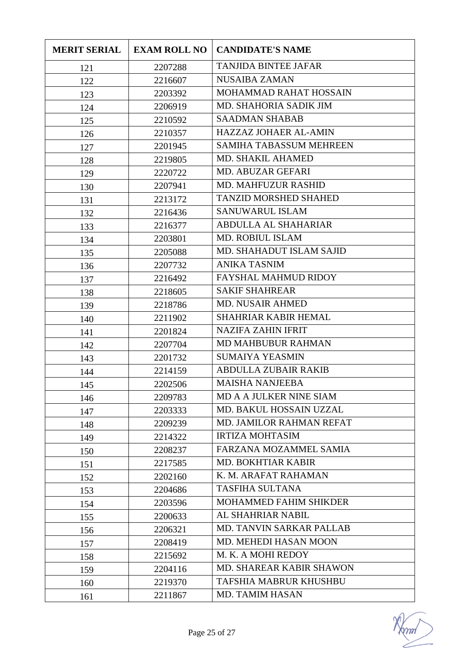| <b>MERIT SERIAL</b> | <b>EXAM ROLL NO</b> | <b>CANDIDATE'S NAME</b>         |
|---------------------|---------------------|---------------------------------|
| 121                 | 2207288             | <b>TANJIDA BINTEE JAFAR</b>     |
| 122                 | 2216607             | <b>NUSAIBA ZAMAN</b>            |
| 123                 | 2203392             | MOHAMMAD RAHAT HOSSAIN          |
| 124                 | 2206919             | MD. SHAHORIA SADIK JIM          |
| 125                 | 2210592             | <b>SAADMAN SHABAB</b>           |
| 126                 | 2210357             | <b>HAZZAZ JOHAER AL-AMIN</b>    |
| 127                 | 2201945             | <b>SAMIHA TABASSUM MEHREEN</b>  |
| 128                 | 2219805             | MD. SHAKIL AHAMED               |
| 129                 | 2220722             | MD. ABUZAR GEFARI               |
| 130                 | 2207941             | <b>MD. MAHFUZUR RASHID</b>      |
| 131                 | 2213172             | <b>TANZID MORSHED SHAHED</b>    |
| 132                 | 2216436             | SANUWARUL ISLAM                 |
| 133                 | 2216377             | <b>ABDULLA AL SHAHARIAR</b>     |
| 134                 | 2203801             | <b>MD. ROBIUL ISLAM</b>         |
| 135                 | 2205088             | MD. SHAHADUT ISLAM SAJID        |
| 136                 | 2207732             | <b>ANIKA TASNIM</b>             |
| 137                 | 2216492             | <b>FAYSHAL MAHMUD RIDOY</b>     |
| 138                 | 2218605             | <b>SAKIF SHAHREAR</b>           |
| 139                 | 2218786             | <b>MD. NUSAIR AHMED</b>         |
| 140                 | 2211902             | <b>SHAHRIAR KABIR HEMAL</b>     |
| 141                 | 2201824             | <b>NAZIFA ZAHIN IFRIT</b>       |
| 142                 | 2207704             | <b>MD MAHBUBUR RAHMAN</b>       |
| 143                 | 2201732             | <b>SUMAIYA YEASMIN</b>          |
| 144                 | 2214159             | <b>ABDULLA ZUBAIR RAKIB</b>     |
| 145                 | 2202506             | <b>MAISHA NANJEEBA</b>          |
| 146                 | 2209783             | MD A A JULKER NINE SIAM         |
| 147                 | 2203333             | MD. BAKUL HOSSAIN UZZAL         |
| 148                 | 2209239             | MD. JAMILOR RAHMAN REFAT        |
| 149                 | 2214322             | <b>IRTIZA MOHTASIM</b>          |
| 150                 | 2208237             | FARZANA MOZAMMEL SAMIA          |
| 151                 | 2217585             | <b>MD. BOKHTIAR KABIR</b>       |
| 152                 | 2202160             | K. M. ARAFAT RAHAMAN            |
| 153                 | 2204686             | <b>TASFIHA SULTANA</b>          |
| 154                 | 2203596             | MOHAMMED FAHIM SHIKDER          |
| 155                 | 2200633             | AL SHAHRIAR NABIL               |
| 156                 | 2206321             | <b>MD. TANVIN SARKAR PALLAB</b> |
| 157                 | 2208419             | MD. MEHEDI HASAN MOON           |
| 158                 | 2215692             | M. K. A MOHI REDOY              |
| 159                 | 2204116             | MD. SHAREAR KABIR SHAWON        |
| 160                 | 2219370             | TAFSHIA MABRUR KHUSHBU          |
| 161                 | 2211867             | <b>MD. TAMIM HASAN</b>          |

 $\gamma$ ml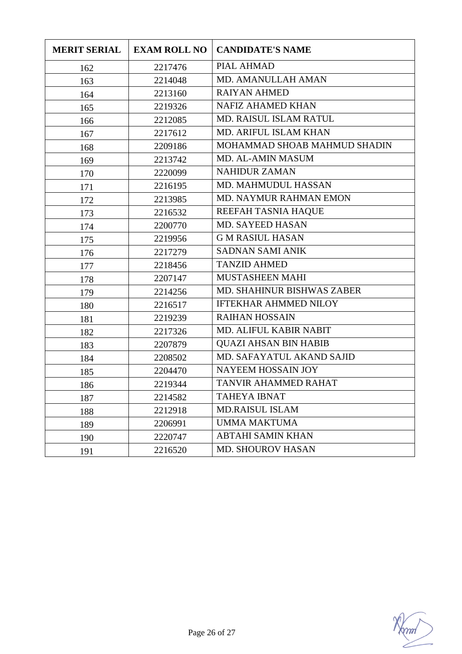| <b>MERIT SERIAL</b> | <b>EXAM ROLL NO</b> | <b>CANDIDATE'S NAME</b>       |
|---------------------|---------------------|-------------------------------|
| 162                 | 2217476             | PIAL AHMAD                    |
| 163                 | 2214048             | MD. AMANULLAH AMAN            |
| 164                 | 2213160             | <b>RAIYAN AHMED</b>           |
| 165                 | 2219326             | <b>NAFIZ AHAMED KHAN</b>      |
| 166                 | 2212085             | <b>MD. RAISUL ISLAM RATUL</b> |
| 167                 | 2217612             | MD. ARIFUL ISLAM KHAN         |
| 168                 | 2209186             | MOHAMMAD SHOAB MAHMUD SHADIN  |
| 169                 | 2213742             | <b>MD. AL-AMIN MASUM</b>      |
| 170                 | 2220099             | <b>NAHIDUR ZAMAN</b>          |
| 171                 | 2216195             | MD. MAHMUDUL HASSAN           |
| 172                 | 2213985             | MD. NAYMUR RAHMAN EMON        |
| 173                 | 2216532             | REEFAH TASNIA HAQUE           |
| 174                 | 2200770             | MD. SAYEED HASAN              |
| 175                 | 2219956             | <b>GM RASIUL HASAN</b>        |
| 176                 | 2217279             | <b>SADNAN SAMI ANIK</b>       |
| 177                 | 2218456             | <b>TANZID AHMED</b>           |
| 178                 | 2207147             | MUSTASHEEN MAHI               |
| 179                 | 2214256             | MD. SHAHINUR BISHWAS ZABER    |
| 180                 | 2216517             | <b>IFTEKHAR AHMMED NILOY</b>  |
| 181                 | 2219239             | <b>RAIHAN HOSSAIN</b>         |
| 182                 | 2217326             | MD. ALIFUL KABIR NABIT        |
| 183                 | 2207879             | <b>QUAZI AHSAN BIN HABIB</b>  |
| 184                 | 2208502             | MD. SAFAYATUL AKAND SAJID     |
| 185                 | 2204470             | NAYEEM HOSSAIN JOY            |
| 186                 | 2219344             | TANVIR AHAMMED RAHAT          |
| 187                 | 2214582             | <b>TAHEYA IBNAT</b>           |
| 188                 | 2212918             | <b>MD.RAISUL ISLAM</b>        |
| 189                 | 2206991             | <b>UMMA MAKTUMA</b>           |
| 190                 | 2220747             | <b>ABTAHI SAMIN KHAN</b>      |
| 191                 | 2216520             | <b>MD. SHOUROV HASAN</b>      |

 $\mathcal{V}$